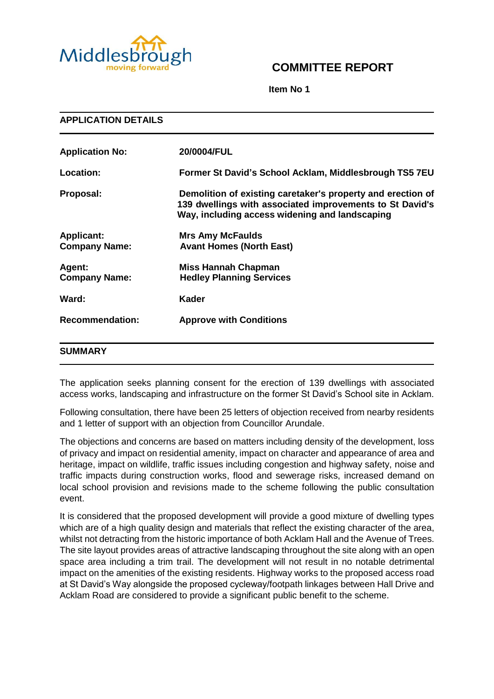

# **COMMITTEE REPORT**

**Item No 1**

| <b>APPLICATION DETAILS</b>                |                                                                                                                                                                           |  |
|-------------------------------------------|---------------------------------------------------------------------------------------------------------------------------------------------------------------------------|--|
| <b>Application No:</b>                    | 20/0004/FUL                                                                                                                                                               |  |
| Location:                                 | Former St David's School Acklam, Middlesbrough TS5 7EU                                                                                                                    |  |
| Proposal:                                 | Demolition of existing caretaker's property and erection of<br>139 dwellings with associated improvements to St David's<br>Way, including access widening and landscaping |  |
| <b>Applicant:</b><br><b>Company Name:</b> | <b>Mrs Amy McFaulds</b><br><b>Avant Homes (North East)</b>                                                                                                                |  |
| Agent:<br><b>Company Name:</b>            | <b>Miss Hannah Chapman</b><br><b>Hedley Planning Services</b>                                                                                                             |  |
| Ward:                                     | <b>Kader</b>                                                                                                                                                              |  |
| <b>Recommendation:</b>                    | <b>Approve with Conditions</b>                                                                                                                                            |  |
| <b>SUMMARY</b>                            |                                                                                                                                                                           |  |

The application seeks planning consent for the erection of 139 dwellings with associated access works, landscaping and infrastructure on the former St David's School site in Acklam.

Following consultation, there have been 25 letters of objection received from nearby residents and 1 letter of support with an objection from Councillor Arundale.

The objections and concerns are based on matters including density of the development, loss of privacy and impact on residential amenity, impact on character and appearance of area and heritage, impact on wildlife, traffic issues including congestion and highway safety, noise and traffic impacts during construction works, flood and sewerage risks, increased demand on local school provision and revisions made to the scheme following the public consultation event.

It is considered that the proposed development will provide a good mixture of dwelling types which are of a high quality design and materials that reflect the existing character of the area, whilst not detracting from the historic importance of both Acklam Hall and the Avenue of Trees. The site layout provides areas of attractive landscaping throughout the site along with an open space area including a trim trail. The development will not result in no notable detrimental impact on the amenities of the existing residents. Highway works to the proposed access road at St David's Way alongside the proposed cycleway/footpath linkages between Hall Drive and Acklam Road are considered to provide a significant public benefit to the scheme.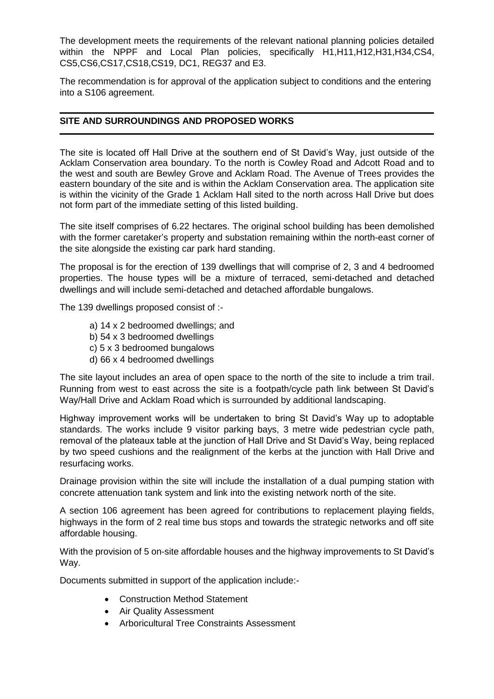The development meets the requirements of the relevant national planning policies detailed within the NPPF and Local Plan policies, specifically H1,H11,H12,H31,H34,CS4, CS5,CS6,CS17,CS18,CS19, DC1, REG37 and E3.

The recommendation is for approval of the application subject to conditions and the entering into a S106 agreement.

# **SITE AND SURROUNDINGS AND PROPOSED WORKS**

The site is located off Hall Drive at the southern end of St David's Way, just outside of the Acklam Conservation area boundary. To the north is Cowley Road and Adcott Road and to the west and south are Bewley Grove and Acklam Road. The Avenue of Trees provides the eastern boundary of the site and is within the Acklam Conservation area. The application site is within the vicinity of the Grade 1 Acklam Hall sited to the north across Hall Drive but does not form part of the immediate setting of this listed building.

The site itself comprises of 6.22 hectares. The original school building has been demolished with the former caretaker's property and substation remaining within the north-east corner of the site alongside the existing car park hard standing.

The proposal is for the erection of 139 dwellings that will comprise of 2, 3 and 4 bedroomed properties. The house types will be a mixture of terraced, semi-detached and detached dwellings and will include semi-detached and detached affordable bungalows.

The 139 dwellings proposed consist of :-

- a) 14 x 2 bedroomed dwellings; and
- b) 54 x 3 bedroomed dwellings
- c) 5 x 3 bedroomed bungalows
- d) 66 x 4 bedroomed dwellings

The site layout includes an area of open space to the north of the site to include a trim trail. Running from west to east across the site is a footpath/cycle path link between St David's Way/Hall Drive and Acklam Road which is surrounded by additional landscaping.

Highway improvement works will be undertaken to bring St David's Way up to adoptable standards. The works include 9 visitor parking bays, 3 metre wide pedestrian cycle path, removal of the plateaux table at the junction of Hall Drive and St David's Way, being replaced by two speed cushions and the realignment of the kerbs at the junction with Hall Drive and resurfacing works.

Drainage provision within the site will include the installation of a dual pumping station with concrete attenuation tank system and link into the existing network north of the site.

A section 106 agreement has been agreed for contributions to replacement playing fields, highways in the form of 2 real time bus stops and towards the strategic networks and off site affordable housing.

With the provision of 5 on-site affordable houses and the highway improvements to St David's Way.

Documents submitted in support of the application include:-

- Construction Method Statement
- Air Quality Assessment
- Arboricultural Tree Constraints Assessment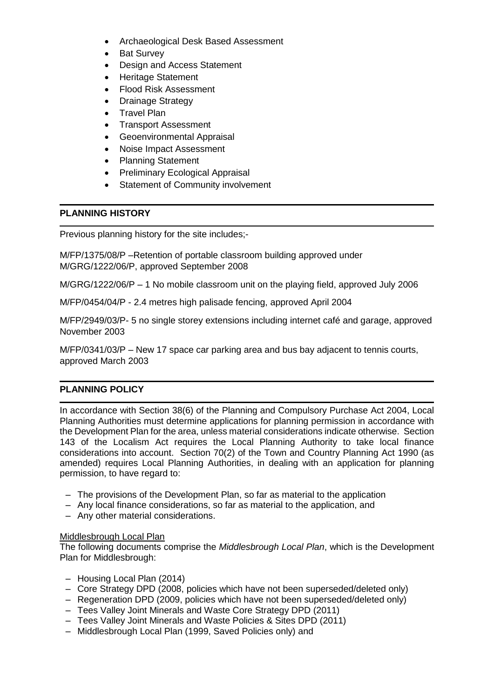- Archaeological Desk Based Assessment
- Bat Survey
- Design and Access Statement
- Heritage Statement
- Flood Risk Assessment
- Drainage Strategy
- Travel Plan
- Transport Assessment
- Geoenvironmental Appraisal
- Noise Impact Assessment
- Planning Statement
- Preliminary Ecological Appraisal
- Statement of Community involvement

# **PLANNING HISTORY**

Previous planning history for the site includes;-

M/FP/1375/08/P –Retention of portable classroom building approved under M/GRG/1222/06/P, approved September 2008

 $M/GRG/1222/06/P - 1$  No mobile classroom unit on the playing field, approved July 2006

M/FP/0454/04/P - 2.4 metres high palisade fencing, approved April 2004

M/FP/2949/03/P- 5 no single storey extensions including internet café and garage, approved November 2003

M/FP/0341/03/P – New 17 space car parking area and bus bay adjacent to tennis courts, approved March 2003

# **PLANNING POLICY**

In accordance with Section 38(6) of the Planning and Compulsory Purchase Act 2004, Local Planning Authorities must determine applications for planning permission in accordance with the Development Plan for the area, unless material considerations indicate otherwise. Section 143 of the Localism Act requires the Local Planning Authority to take local finance considerations into account. Section 70(2) of the Town and Country Planning Act 1990 (as amended) requires Local Planning Authorities, in dealing with an application for planning permission, to have regard to:

- The provisions of the Development Plan, so far as material to the application
- Any local finance considerations, so far as material to the application, and
- Any other material considerations.

# Middlesbrough Local Plan

The following documents comprise the *Middlesbrough Local Plan*, which is the Development Plan for Middlesbrough:

- Housing Local Plan (2014)
- Core Strategy DPD (2008, policies which have not been superseded/deleted only)
- Regeneration DPD (2009, policies which have not been superseded/deleted only)
- Tees Valley Joint Minerals and Waste Core Strategy DPD (2011)
- Tees Valley Joint Minerals and Waste Policies & Sites DPD (2011)
- Middlesbrough Local Plan (1999, Saved Policies only) and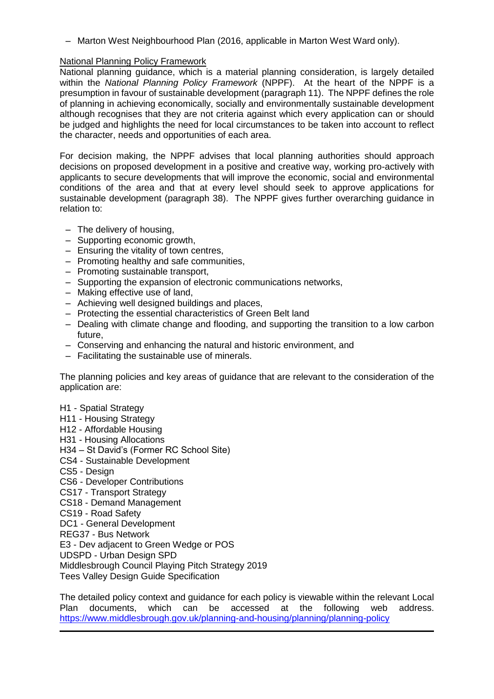– Marton West Neighbourhood Plan (2016, applicable in Marton West Ward only).

# National Planning Policy Framework

National planning guidance, which is a material planning consideration, is largely detailed within the *National Planning Policy Framework* (NPPF). At the heart of the NPPF is a presumption in favour of sustainable development (paragraph 11). The NPPF defines the role of planning in achieving economically, socially and environmentally sustainable development although recognises that they are not criteria against which every application can or should be judged and highlights the need for local circumstances to be taken into account to reflect the character, needs and opportunities of each area.

For decision making, the NPPF advises that local planning authorities should approach decisions on proposed development in a positive and creative way, working pro-actively with applicants to secure developments that will improve the economic, social and environmental conditions of the area and that at every level should seek to approve applications for sustainable development (paragraph 38). The NPPF gives further overarching guidance in relation to:

- The delivery of housing,
- Supporting economic growth,
- Ensuring the vitality of town centres,
- Promoting healthy and safe communities,
- Promoting sustainable transport,
- Supporting the expansion of electronic communications networks,
- Making effective use of land,
- Achieving well designed buildings and places,
- Protecting the essential characteristics of Green Belt land
- Dealing with climate change and flooding, and supporting the transition to a low carbon future,
- Conserving and enhancing the natural and historic environment, and
- Facilitating the sustainable use of minerals.

The planning policies and key areas of guidance that are relevant to the consideration of the application are:

- H1 Spatial Strategy
- H11 Housing Strategy
- H12 Affordable Housing
- H31 Housing Allocations
- H34 St David's (Former RC School Site)
- CS4 Sustainable Development
- CS5 Design
- CS6 Developer Contributions
- CS17 Transport Strategy
- CS18 Demand Management
- CS19 Road Safety
- DC1 General Development
- REG37 Bus Network
- E3 Dev adjacent to Green Wedge or POS
- UDSPD Urban Design SPD
- Middlesbrough Council Playing Pitch Strategy 2019
- Tees Valley Design Guide Specification

The detailed policy context and guidance for each policy is viewable within the relevant Local Plan documents, which can be accessed at the following web address. <https://www.middlesbrough.gov.uk/planning-and-housing/planning/planning-policy>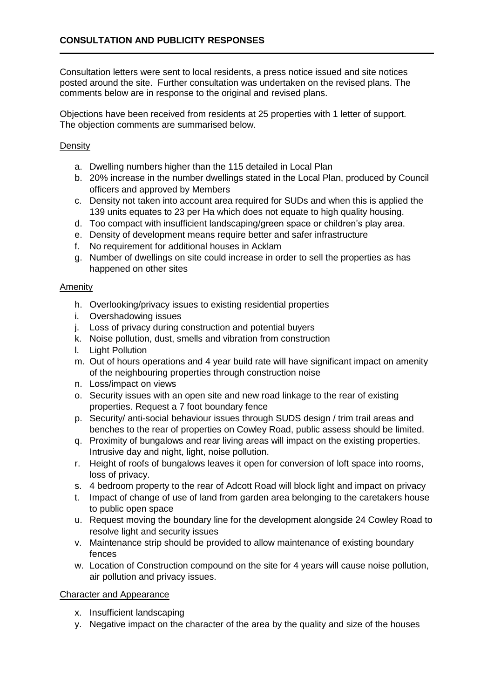Consultation letters were sent to local residents, a press notice issued and site notices posted around the site. Further consultation was undertaken on the revised plans. The comments below are in response to the original and revised plans.

Objections have been received from residents at 25 properties with 1 letter of support. The objection comments are summarised below.

# **Density**

- a. Dwelling numbers higher than the 115 detailed in Local Plan
- b. 20% increase in the number dwellings stated in the Local Plan, produced by Council officers and approved by Members
- c. Density not taken into account area required for SUDs and when this is applied the 139 units equates to 23 per Ha which does not equate to high quality housing.
- d. Too compact with insufficient landscaping/green space or children's play area.
- e. Density of development means require better and safer infrastructure
- f. No requirement for additional houses in Acklam
- g. Number of dwellings on site could increase in order to sell the properties as has happened on other sites

# Amenity

- h. Overlooking/privacy issues to existing residential properties
- i. Overshadowing issues
- j. Loss of privacy during construction and potential buyers
- k. Noise pollution, dust, smells and vibration from construction
- l. Light Pollution
- m. Out of hours operations and 4 year build rate will have significant impact on amenity of the neighbouring properties through construction noise
- n. Loss/impact on views
- o. Security issues with an open site and new road linkage to the rear of existing properties. Request a 7 foot boundary fence
- p. Security/ anti-social behaviour issues through SUDS design / trim trail areas and benches to the rear of properties on Cowley Road, public assess should be limited.
- q. Proximity of bungalows and rear living areas will impact on the existing properties. Intrusive day and night, light, noise pollution.
- r. Height of roofs of bungalows leaves it open for conversion of loft space into rooms, loss of privacy.
- s. 4 bedroom property to the rear of Adcott Road will block light and impact on privacy
- t. Impact of change of use of land from garden area belonging to the caretakers house to public open space
- u. Request moving the boundary line for the development alongside 24 Cowley Road to resolve light and security issues
- v. Maintenance strip should be provided to allow maintenance of existing boundary fences
- w. Location of Construction compound on the site for 4 years will cause noise pollution, air pollution and privacy issues.

Character and Appearance

- x. Insufficient landscaping
- y. Negative impact on the character of the area by the quality and size of the houses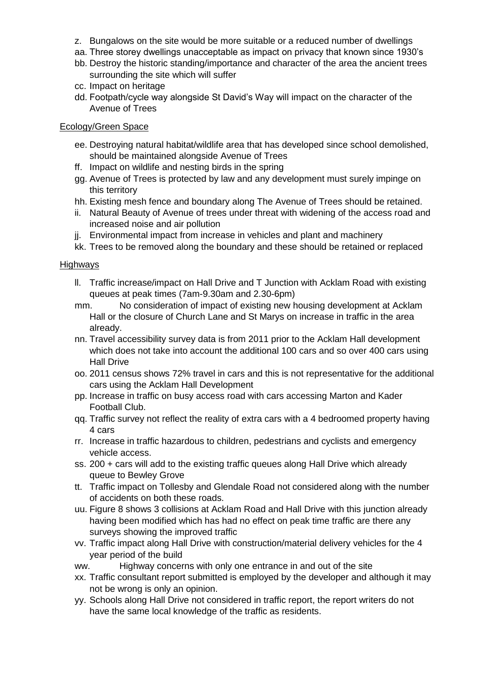- z. Bungalows on the site would be more suitable or a reduced number of dwellings
- aa. Three storey dwellings unacceptable as impact on privacy that known since 1930's
- bb. Destroy the historic standing/importance and character of the area the ancient trees surrounding the site which will suffer
- cc. Impact on heritage
- dd. Footpath/cycle way alongside St David's Way will impact on the character of the Avenue of Trees

# Ecology/Green Space

- ee. Destroying natural habitat/wildlife area that has developed since school demolished, should be maintained alongside Avenue of Trees
- ff. Impact on wildlife and nesting birds in the spring
- gg. Avenue of Trees is protected by law and any development must surely impinge on this territory
- hh. Existing mesh fence and boundary along The Avenue of Trees should be retained.
- ii. Natural Beauty of Avenue of trees under threat with widening of the access road and increased noise and air pollution
- ji. Environmental impact from increase in vehicles and plant and machinery
- kk. Trees to be removed along the boundary and these should be retained or replaced

# Highways

- ll. Traffic increase/impact on Hall Drive and T Junction with Acklam Road with existing queues at peak times (7am-9.30am and 2.30-6pm)
- mm. No consideration of impact of existing new housing development at Acklam Hall or the closure of Church Lane and St Marys on increase in traffic in the area already.
- nn. Travel accessibility survey data is from 2011 prior to the Acklam Hall development which does not take into account the additional 100 cars and so over 400 cars using Hall Drive
- oo. 2011 census shows 72% travel in cars and this is not representative for the additional cars using the Acklam Hall Development
- pp. Increase in traffic on busy access road with cars accessing Marton and Kader Football Club.
- qq. Traffic survey not reflect the reality of extra cars with a 4 bedroomed property having 4 cars
- rr. Increase in traffic hazardous to children, pedestrians and cyclists and emergency vehicle access.
- ss. 200 + cars will add to the existing traffic queues along Hall Drive which already queue to Bewley Grove
- tt. Traffic impact on Tollesby and Glendale Road not considered along with the number of accidents on both these roads.
- uu. Figure 8 shows 3 collisions at Acklam Road and Hall Drive with this junction already having been modified which has had no effect on peak time traffic are there any surveys showing the improved traffic
- vv. Traffic impact along Hall Drive with construction/material delivery vehicles for the 4 year period of the build
- ww. Highway concerns with only one entrance in and out of the site
- xx. Traffic consultant report submitted is employed by the developer and although it may not be wrong is only an opinion.
- yy. Schools along Hall Drive not considered in traffic report, the report writers do not have the same local knowledge of the traffic as residents.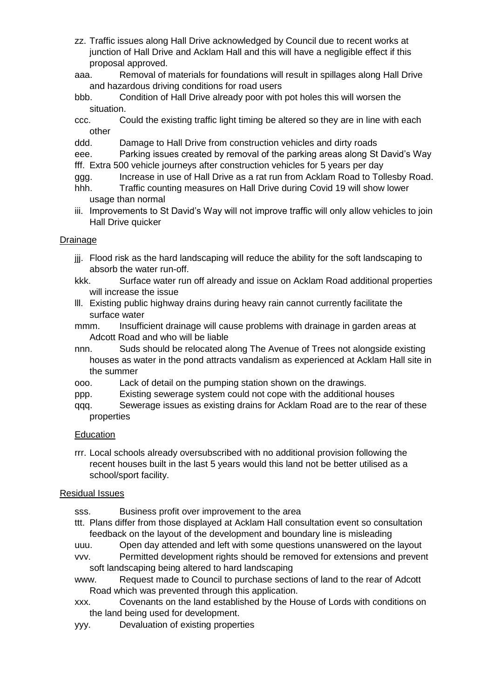- zz. Traffic issues along Hall Drive acknowledged by Council due to recent works at junction of Hall Drive and Acklam Hall and this will have a negligible effect if this proposal approved.
- aaa. Removal of materials for foundations will result in spillages along Hall Drive and hazardous driving conditions for road users
- bbb. Condition of Hall Drive already poor with pot holes this will worsen the situation.
- ccc. Could the existing traffic light timing be altered so they are in line with each other
- ddd. Damage to Hall Drive from construction vehicles and dirty roads

eee. Parking issues created by removal of the parking areas along St David's Way fff. Extra 500 vehicle journeys after construction vehicles for 5 years per day

- ggg. Increase in use of Hall Drive as a rat run from Acklam Road to Tollesby Road.
- hhh. Traffic counting measures on Hall Drive during Covid 19 will show lower usage than normal
- iii. Improvements to St David's Way will not improve traffic will only allow vehicles to join Hall Drive quicker

# **Drainage**

- jjj. Flood risk as the hard landscaping will reduce the ability for the soft landscaping to absorb the water run-off.
- kkk. Surface water run off already and issue on Acklam Road additional properties will increase the issue
- lll. Existing public highway drains during heavy rain cannot currently facilitate the surface water
- mmm. Insufficient drainage will cause problems with drainage in garden areas at Adcott Road and who will be liable
- nnn. Suds should be relocated along The Avenue of Trees not alongside existing houses as water in the pond attracts vandalism as experienced at Acklam Hall site in the summer
- ooo. Lack of detail on the pumping station shown on the drawings.
- ppp. Existing sewerage system could not cope with the additional houses
- qqq. Sewerage issues as existing drains for Acklam Road are to the rear of these properties

# **Education**

rrr. Local schools already oversubscribed with no additional provision following the recent houses built in the last 5 years would this land not be better utilised as a school/sport facility.

# Residual Issues

- sss. Business profit over improvement to the area
- ttt. Plans differ from those displayed at Acklam Hall consultation event so consultation feedback on the layout of the development and boundary line is misleading
- uuu. Open day attended and left with some questions unanswered on the layout
- vvv. Permitted development rights should be removed for extensions and prevent soft landscaping being altered to hard landscaping
- www. Request made to Council to purchase sections of land to the rear of Adcott Road which was prevented through this application.
- xxx. Covenants on the land established by the House of Lords with conditions on the land being used for development.
- yyy. Devaluation of existing properties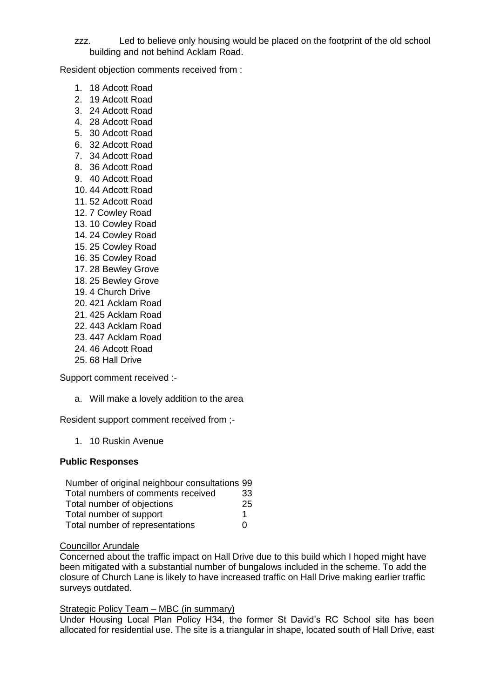zzz. Led to believe only housing would be placed on the footprint of the old school building and not behind Acklam Road.

Resident objection comments received from :

- 1. 18 Adcott Road
- 2. 19 Adcott Road
- 3. 24 Adcott Road
- 4. 28 Adcott Road
- 5. 30 Adcott Road
- 6. 32 Adcott Road
- 7. 34 Adcott Road
- 8. 36 Adcott Road
- 9. 40 Adcott Road
- 10. 44 Adcott Road
- 11. 52 Adcott Road
- 12. 7 Cowley Road
- 13. 10 Cowley Road
- 14. 24 Cowley Road
- 15. 25 Cowley Road
- 16. 35 Cowley Road 17. 28 Bewley Grove
- 18. 25 Bewley Grove
- 19. 4 Church Drive
- 20. 421 Acklam Road
- 21. 425 Acklam Road
- 22. 443 Acklam Road
- 23. 447 Acklam Road
- 24. 46 Adcott Road
- 25. 68 Hall Drive

Support comment received :-

a. Will make a lovely addition to the area

Resident support comment received from ;-

1. 10 Ruskin Avenue

# **Public Responses**

| Number of original neighbour consultations 99 |    |
|-----------------------------------------------|----|
| Total numbers of comments received            | 33 |
| Total number of objections                    | 25 |
| Total number of support                       | 1  |
| Total number of representations               | O  |

# Councillor Arundale

Concerned about the traffic impact on Hall Drive due to this build which I hoped might have been mitigated with a substantial number of bungalows included in the scheme. To add the closure of Church Lane is likely to have increased traffic on Hall Drive making earlier traffic surveys outdated.

# Strategic Policy Team - MBC (in summary)

Under Housing Local Plan Policy H34, the former St David's RC School site has been allocated for residential use. The site is a triangular in shape, located south of Hall Drive, east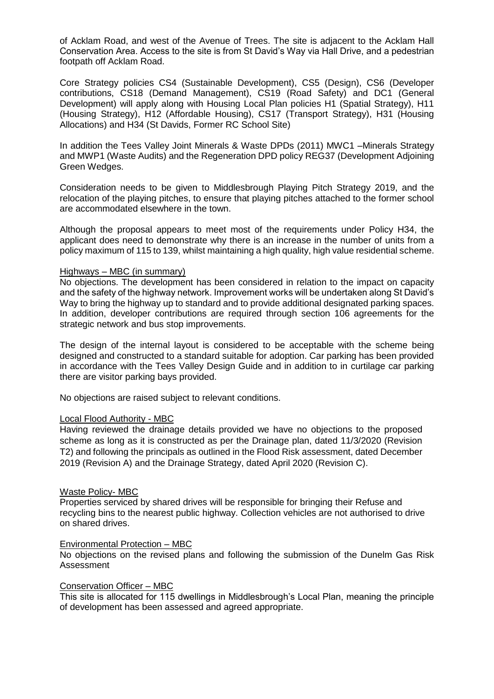of Acklam Road, and west of the Avenue of Trees. The site is adjacent to the Acklam Hall Conservation Area. Access to the site is from St David's Way via Hall Drive, and a pedestrian footpath off Acklam Road.

Core Strategy policies CS4 (Sustainable Development), CS5 (Design), CS6 (Developer contributions, CS18 (Demand Management), CS19 (Road Safety) and DC1 (General Development) will apply along with Housing Local Plan policies H1 (Spatial Strategy), H11 (Housing Strategy), H12 (Affordable Housing), CS17 (Transport Strategy), H31 (Housing Allocations) and H34 (St Davids, Former RC School Site)

In addition the Tees Valley Joint Minerals & Waste DPDs (2011) MWC1 –Minerals Strategy and MWP1 (Waste Audits) and the Regeneration DPD policy REG37 (Development Adjoining Green Wedges.

Consideration needs to be given to Middlesbrough Playing Pitch Strategy 2019, and the relocation of the playing pitches, to ensure that playing pitches attached to the former school are accommodated elsewhere in the town.

Although the proposal appears to meet most of the requirements under Policy H34, the applicant does need to demonstrate why there is an increase in the number of units from a policy maximum of 115 to 139, whilst maintaining a high quality, high value residential scheme.

#### Highways – MBC (in summary)

No objections. The development has been considered in relation to the impact on capacity and the safety of the highway network. Improvement works will be undertaken along St David's Way to bring the highway up to standard and to provide additional designated parking spaces. In addition, developer contributions are required through section 106 agreements for the strategic network and bus stop improvements.

The design of the internal layout is considered to be acceptable with the scheme being designed and constructed to a standard suitable for adoption. Car parking has been provided in accordance with the Tees Valley Design Guide and in addition to in curtilage car parking there are visitor parking bays provided.

No objections are raised subject to relevant conditions.

#### Local Flood Authority - MBC

Having reviewed the drainage details provided we have no objections to the proposed scheme as long as it is constructed as per the Drainage plan, dated 11/3/2020 (Revision T2) and following the principals as outlined in the Flood Risk assessment, dated December 2019 (Revision A) and the Drainage Strategy, dated April 2020 (Revision C).

#### Waste Policy- MBC

Properties serviced by shared drives will be responsible for bringing their Refuse and recycling bins to the nearest public highway. Collection vehicles are not authorised to drive on shared drives.

#### Environmental Protection – MBC

No objections on the revised plans and following the submission of the Dunelm Gas Risk Assessment

#### Conservation Officer – MBC

This site is allocated for 115 dwellings in Middlesbrough's Local Plan, meaning the principle of development has been assessed and agreed appropriate.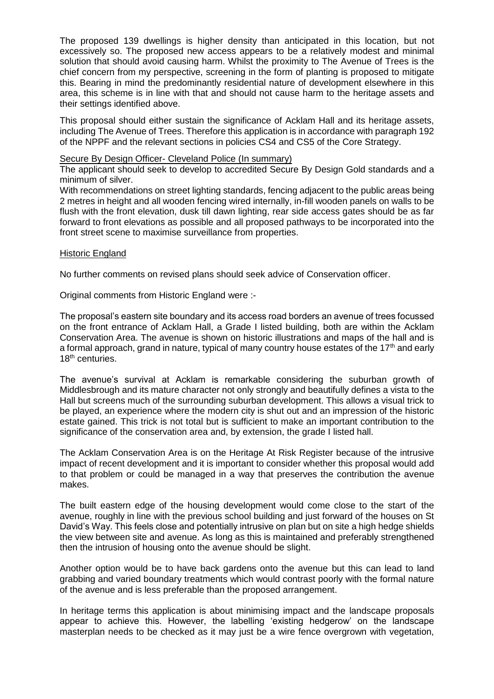The proposed 139 dwellings is higher density than anticipated in this location, but not excessively so. The proposed new access appears to be a relatively modest and minimal solution that should avoid causing harm. Whilst the proximity to The Avenue of Trees is the chief concern from my perspective, screening in the form of planting is proposed to mitigate this. Bearing in mind the predominantly residential nature of development elsewhere in this area, this scheme is in line with that and should not cause harm to the heritage assets and their settings identified above.

This proposal should either sustain the significance of Acklam Hall and its heritage assets, including The Avenue of Trees. Therefore this application is in accordance with paragraph 192 of the NPPF and the relevant sections in policies CS4 and CS5 of the Core Strategy.

#### Secure By Design Officer- Cleveland Police (In summary)

The applicant should seek to develop to accredited Secure By Design Gold standards and a minimum of silver.

With recommendations on street lighting standards, fencing adjacent to the public areas being 2 metres in height and all wooden fencing wired internally, in-fill wooden panels on walls to be flush with the front elevation, dusk till dawn lighting, rear side access gates should be as far forward to front elevations as possible and all proposed pathways to be incorporated into the front street scene to maximise surveillance from properties.

#### Historic England

No further comments on revised plans should seek advice of Conservation officer.

Original comments from Historic England were :-

The proposal's eastern site boundary and its access road borders an avenue of trees focussed on the front entrance of Acklam Hall, a Grade I listed building, both are within the Acklam Conservation Area. The avenue is shown on historic illustrations and maps of the hall and is a formal approach, grand in nature, typical of many country house estates of the  $17<sup>th</sup>$  and early 18<sup>th</sup> centuries.

The avenue's survival at Acklam is remarkable considering the suburban growth of Middlesbrough and its mature character not only strongly and beautifully defines a vista to the Hall but screens much of the surrounding suburban development. This allows a visual trick to be played, an experience where the modern city is shut out and an impression of the historic estate gained. This trick is not total but is sufficient to make an important contribution to the significance of the conservation area and, by extension, the grade I listed hall.

The Acklam Conservation Area is on the Heritage At Risk Register because of the intrusive impact of recent development and it is important to consider whether this proposal would add to that problem or could be managed in a way that preserves the contribution the avenue makes.

The built eastern edge of the housing development would come close to the start of the avenue, roughly in line with the previous school building and just forward of the houses on St David's Way. This feels close and potentially intrusive on plan but on site a high hedge shields the view between site and avenue. As long as this is maintained and preferably strengthened then the intrusion of housing onto the avenue should be slight.

Another option would be to have back gardens onto the avenue but this can lead to land grabbing and varied boundary treatments which would contrast poorly with the formal nature of the avenue and is less preferable than the proposed arrangement.

In heritage terms this application is about minimising impact and the landscape proposals appear to achieve this. However, the labelling 'existing hedgerow' on the landscape masterplan needs to be checked as it may just be a wire fence overgrown with vegetation,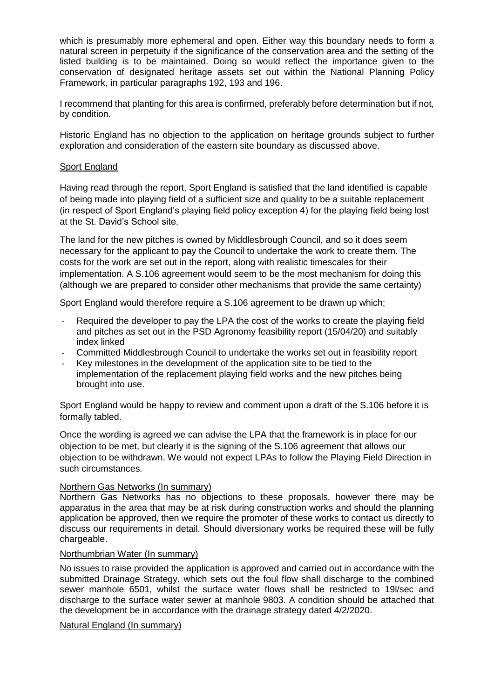which is presumably more ephemeral and open. Either way this boundary needs to form a natural screen in perpetuity if the significance of the conservation area and the setting of the listed building is to be maintained. Doing so would reflect the importance given to the conservation of designated heritage assets set out within the National Planning Policy Framework, in particular paragraphs 192, 193 and 196.

I recommend that planting for this area is confirmed, preferably before determination but if not, by condition.

Historic England has no objection to the application on heritage grounds subject to further exploration and consideration of the eastern site boundary as discussed above.

### Sport England

Having read through the report, Sport England is satisfied that the land identified is capable of being made into playing field of a sufficient size and quality to be a suitable replacement (in respect of Sport England's playing field policy exception 4) for the playing field being lost at the St. David's School site.

The land for the new pitches is owned by Middlesbrough Council, and so it does seem necessary for the applicant to pay the Council to undertake the work to create them. The costs for the work are set out in the report, along with realistic timescales for their implementation. A S.106 agreement would seem to be the most mechanism for doing this (although we are prepared to consider other mechanisms that provide the same certainty)

Sport England would therefore require a S.106 agreement to be drawn up which;

- Required the developer to pay the LPA the cost of the works to create the playing field and pitches as set out in the PSD Agronomy feasibility report (15/04/20) and suitably index linked
- Committed Middlesbrough Council to undertake the works set out in feasibility report
- Key milestones in the development of the application site to be tied to the implementation of the replacement playing field works and the new pitches being brought into use.

Sport England would be happy to review and comment upon a draft of the S.106 before it is formally tabled.

Once the wording is agreed we can advise the LPA that the framework is in place for our objection to be met, but clearly it is the signing of the S.106 agreement that allows our objection to be withdrawn. We would not expect LPAs to follow the Playing Field Direction in such circumstances.

#### Northern Gas Networks (In summary)

Northern Gas Networks has no objections to these proposals, however there may be apparatus in the area that may be at risk during construction works and should the planning application be approved, then we require the promoter of these works to contact us directly to discuss our requirements in detail. Should diversionary works be required these will be fully chargeable.

#### Northumbrian Water (In summary)

No issues to raise provided the application is approved and carried out in accordance with the submitted Drainage Strategy, which sets out the foul flow shall discharge to the combined sewer manhole 6501, whilst the surface water flows shall be restricted to 19l/sec and discharge to the surface water sewer at manhole 9803. A condition should be attached that the development be in accordance with the drainage strategy dated 4/2/2020.

#### Natural England (In summary)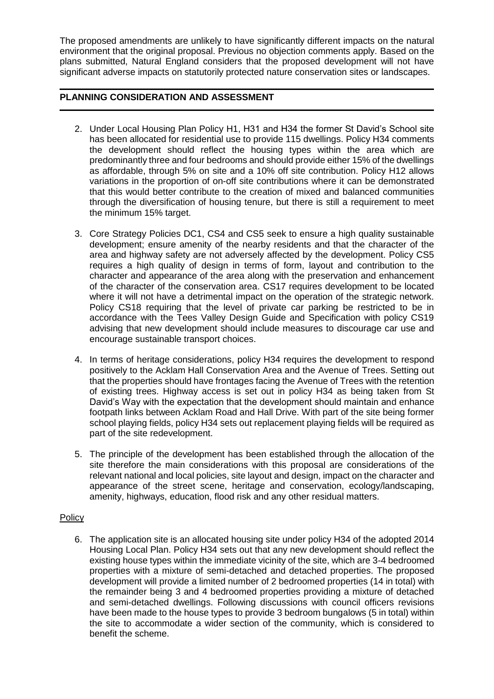The proposed amendments are unlikely to have significantly different impacts on the natural environment that the original proposal. Previous no objection comments apply. Based on the plans submitted, Natural England considers that the proposed development will not have significant adverse impacts on statutorily protected nature conservation sites or landscapes.

# **PLANNING CONSIDERATION AND ASSESSMENT**

- 2. Under Local Housing Plan Policy H1, H31 and H34 the former St David's School site has been allocated for residential use to provide 115 dwellings. Policy H34 comments the development should reflect the housing types within the area which are predominantly three and four bedrooms and should provide either 15% of the dwellings as affordable, through 5% on site and a 10% off site contribution. Policy H12 allows variations in the proportion of on-off site contributions where it can be demonstrated that this would better contribute to the creation of mixed and balanced communities through the diversification of housing tenure, but there is still a requirement to meet the minimum 15% target.
- 3. Core Strategy Policies DC1, CS4 and CS5 seek to ensure a high quality sustainable development; ensure amenity of the nearby residents and that the character of the area and highway safety are not adversely affected by the development. Policy CS5 requires a high quality of design in terms of form, layout and contribution to the character and appearance of the area along with the preservation and enhancement of the character of the conservation area. CS17 requires development to be located where it will not have a detrimental impact on the operation of the strategic network. Policy CS18 requiring that the level of private car parking be restricted to be in accordance with the Tees Valley Design Guide and Specification with policy CS19 advising that new development should include measures to discourage car use and encourage sustainable transport choices.
- 4. In terms of heritage considerations, policy H34 requires the development to respond positively to the Acklam Hall Conservation Area and the Avenue of Trees. Setting out that the properties should have frontages facing the Avenue of Trees with the retention of existing trees. Highway access is set out in policy H34 as being taken from St David's Way with the expectation that the development should maintain and enhance footpath links between Acklam Road and Hall Drive. With part of the site being former school playing fields, policy H34 sets out replacement playing fields will be required as part of the site redevelopment.
- 5. The principle of the development has been established through the allocation of the site therefore the main considerations with this proposal are considerations of the relevant national and local policies, site layout and design, impact on the character and appearance of the street scene, heritage and conservation, ecology/landscaping, amenity, highways, education, flood risk and any other residual matters.

# **Policy**

6. The application site is an allocated housing site under policy H34 of the adopted 2014 Housing Local Plan. Policy H34 sets out that any new development should reflect the existing house types within the immediate vicinity of the site, which are 3-4 bedroomed properties with a mixture of semi-detached and detached properties. The proposed development will provide a limited number of 2 bedroomed properties (14 in total) with the remainder being 3 and 4 bedroomed properties providing a mixture of detached and semi-detached dwellings. Following discussions with council officers revisions have been made to the house types to provide 3 bedroom bungalows (5 in total) within the site to accommodate a wider section of the community, which is considered to benefit the scheme.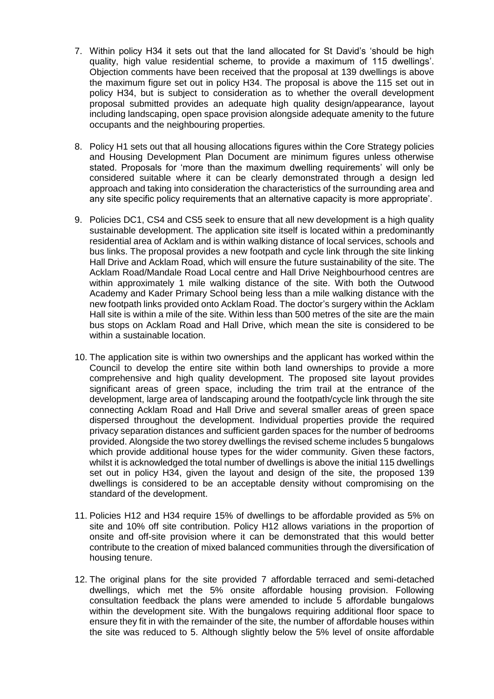- 7. Within policy H34 it sets out that the land allocated for St David's 'should be high quality, high value residential scheme, to provide a maximum of 115 dwellings'. Objection comments have been received that the proposal at 139 dwellings is above the maximum figure set out in policy H34. The proposal is above the 115 set out in policy H34, but is subject to consideration as to whether the overall development proposal submitted provides an adequate high quality design/appearance, layout including landscaping, open space provision alongside adequate amenity to the future occupants and the neighbouring properties.
- 8. Policy H1 sets out that all housing allocations figures within the Core Strategy policies and Housing Development Plan Document are minimum figures unless otherwise stated. Proposals for 'more than the maximum dwelling requirements' will only be considered suitable where it can be clearly demonstrated through a design led approach and taking into consideration the characteristics of the surrounding area and any site specific policy requirements that an alternative capacity is more appropriate'.
- 9. Policies DC1, CS4 and CS5 seek to ensure that all new development is a high quality sustainable development. The application site itself is located within a predominantly residential area of Acklam and is within walking distance of local services, schools and bus links. The proposal provides a new footpath and cycle link through the site linking Hall Drive and Acklam Road, which will ensure the future sustainability of the site. The Acklam Road/Mandale Road Local centre and Hall Drive Neighbourhood centres are within approximately 1 mile walking distance of the site. With both the Outwood Academy and Kader Primary School being less than a mile walking distance with the new footpath links provided onto Acklam Road. The doctor's surgery within the Acklam Hall site is within a mile of the site. Within less than 500 metres of the site are the main bus stops on Acklam Road and Hall Drive, which mean the site is considered to be within a sustainable location.
- 10. The application site is within two ownerships and the applicant has worked within the Council to develop the entire site within both land ownerships to provide a more comprehensive and high quality development. The proposed site layout provides significant areas of green space, including the trim trail at the entrance of the development, large area of landscaping around the footpath/cycle link through the site connecting Acklam Road and Hall Drive and several smaller areas of green space dispersed throughout the development. Individual properties provide the required privacy separation distances and sufficient garden spaces for the number of bedrooms provided. Alongside the two storey dwellings the revised scheme includes 5 bungalows which provide additional house types for the wider community. Given these factors, whilst it is acknowledged the total number of dwellings is above the initial 115 dwellings set out in policy H34, given the layout and design of the site, the proposed 139 dwellings is considered to be an acceptable density without compromising on the standard of the development.
- 11. Policies H12 and H34 require 15% of dwellings to be affordable provided as 5% on site and 10% off site contribution. Policy H12 allows variations in the proportion of onsite and off-site provision where it can be demonstrated that this would better contribute to the creation of mixed balanced communities through the diversification of housing tenure.
- 12. The original plans for the site provided 7 affordable terraced and semi-detached dwellings, which met the 5% onsite affordable housing provision. Following consultation feedback the plans were amended to include 5 affordable bungalows within the development site. With the bungalows requiring additional floor space to ensure they fit in with the remainder of the site, the number of affordable houses within the site was reduced to 5. Although slightly below the 5% level of onsite affordable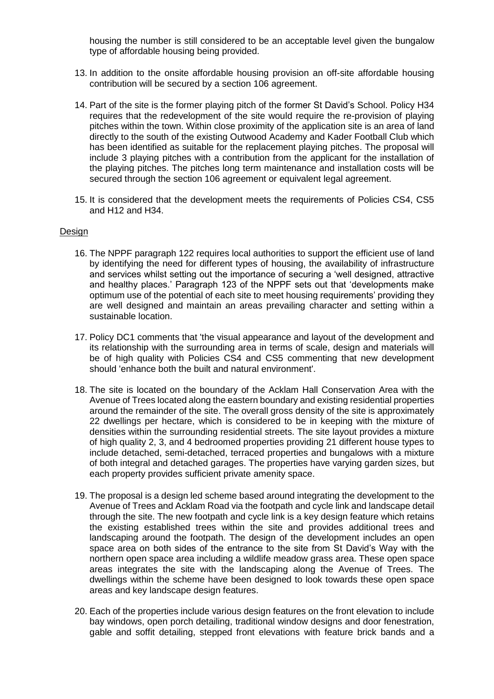housing the number is still considered to be an acceptable level given the bungalow type of affordable housing being provided.

- 13. In addition to the onsite affordable housing provision an off-site affordable housing contribution will be secured by a section 106 agreement.
- 14. Part of the site is the former playing pitch of the former St David's School. Policy H34 requires that the redevelopment of the site would require the re-provision of playing pitches within the town. Within close proximity of the application site is an area of land directly to the south of the existing Outwood Academy and Kader Football Club which has been identified as suitable for the replacement playing pitches. The proposal will include 3 playing pitches with a contribution from the applicant for the installation of the playing pitches. The pitches long term maintenance and installation costs will be secured through the section 106 agreement or equivalent legal agreement.
- 15. It is considered that the development meets the requirements of Policies CS4, CS5 and H12 and H34.

#### Design

- 16. The NPPF paragraph 122 requires local authorities to support the efficient use of land by identifying the need for different types of housing, the availability of infrastructure and services whilst setting out the importance of securing a 'well designed, attractive and healthy places.' Paragraph 123 of the NPPF sets out that 'developments make optimum use of the potential of each site to meet housing requirements' providing they are well designed and maintain an areas prevailing character and setting within a sustainable location.
- 17. Policy DC1 comments that 'the visual appearance and layout of the development and its relationship with the surrounding area in terms of scale, design and materials will be of high quality with Policies CS4 and CS5 commenting that new development should 'enhance both the built and natural environment'.
- 18. The site is located on the boundary of the Acklam Hall Conservation Area with the Avenue of Trees located along the eastern boundary and existing residential properties around the remainder of the site. The overall gross density of the site is approximately 22 dwellings per hectare, which is considered to be in keeping with the mixture of densities within the surrounding residential streets. The site layout provides a mixture of high quality 2, 3, and 4 bedroomed properties providing 21 different house types to include detached, semi-detached, terraced properties and bungalows with a mixture of both integral and detached garages. The properties have varying garden sizes, but each property provides sufficient private amenity space.
- 19. The proposal is a design led scheme based around integrating the development to the Avenue of Trees and Acklam Road via the footpath and cycle link and landscape detail through the site. The new footpath and cycle link is a key design feature which retains the existing established trees within the site and provides additional trees and landscaping around the footpath. The design of the development includes an open space area on both sides of the entrance to the site from St David's Way with the northern open space area including a wildlife meadow grass area. These open space areas integrates the site with the landscaping along the Avenue of Trees. The dwellings within the scheme have been designed to look towards these open space areas and key landscape design features.
- 20. Each of the properties include various design features on the front elevation to include bay windows, open porch detailing, traditional window designs and door fenestration, gable and soffit detailing, stepped front elevations with feature brick bands and a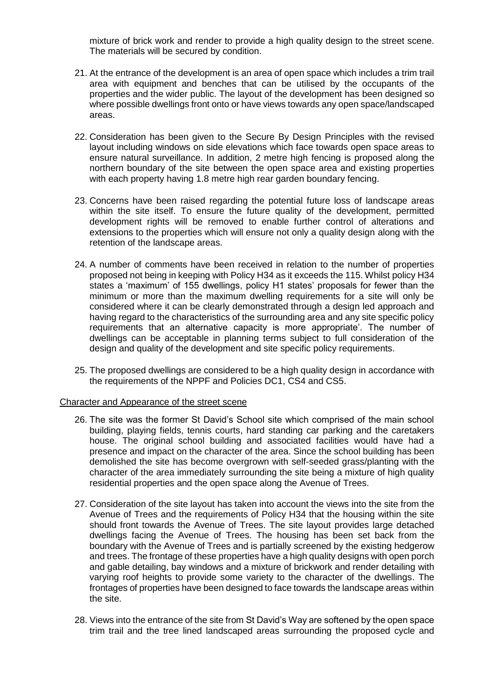mixture of brick work and render to provide a high quality design to the street scene. The materials will be secured by condition.

- 21. At the entrance of the development is an area of open space which includes a trim trail area with equipment and benches that can be utilised by the occupants of the properties and the wider public. The layout of the development has been designed so where possible dwellings front onto or have views towards any open space/landscaped areas.
- 22. Consideration has been given to the Secure By Design Principles with the revised layout including windows on side elevations which face towards open space areas to ensure natural surveillance. In addition, 2 metre high fencing is proposed along the northern boundary of the site between the open space area and existing properties with each property having 1.8 metre high rear garden boundary fencing.
- 23. Concerns have been raised regarding the potential future loss of landscape areas within the site itself. To ensure the future quality of the development, permitted development rights will be removed to enable further control of alterations and extensions to the properties which will ensure not only a quality design along with the retention of the landscape areas.
- 24. A number of comments have been received in relation to the number of properties proposed not being in keeping with Policy H34 as it exceeds the 115. Whilst policy H34 states a 'maximum' of 155 dwellings, policy H1 states' proposals for fewer than the minimum or more than the maximum dwelling requirements for a site will only be considered where it can be clearly demonstrated through a design led approach and having regard to the characteristics of the surrounding area and any site specific policy requirements that an alternative capacity is more appropriate'. The number of dwellings can be acceptable in planning terms subject to full consideration of the design and quality of the development and site specific policy requirements.
- 25. The proposed dwellings are considered to be a high quality design in accordance with the requirements of the NPPF and Policies DC1, CS4 and CS5.

#### Character and Appearance of the street scene

- 26. The site was the former St David's School site which comprised of the main school building, playing fields, tennis courts, hard standing car parking and the caretakers house. The original school building and associated facilities would have had a presence and impact on the character of the area. Since the school building has been demolished the site has become overgrown with self-seeded grass/planting with the character of the area immediately surrounding the site being a mixture of high quality residential properties and the open space along the Avenue of Trees.
- 27. Consideration of the site layout has taken into account the views into the site from the Avenue of Trees and the requirements of Policy H34 that the housing within the site should front towards the Avenue of Trees. The site layout provides large detached dwellings facing the Avenue of Trees. The housing has been set back from the boundary with the Avenue of Trees and is partially screened by the existing hedgerow and trees. The frontage of these properties have a high quality designs with open porch and gable detailing, bay windows and a mixture of brickwork and render detailing with varying roof heights to provide some variety to the character of the dwellings. The frontages of properties have been designed to face towards the landscape areas within the site.
- 28. Views into the entrance of the site from St David's Way are softened by the open space trim trail and the tree lined landscaped areas surrounding the proposed cycle and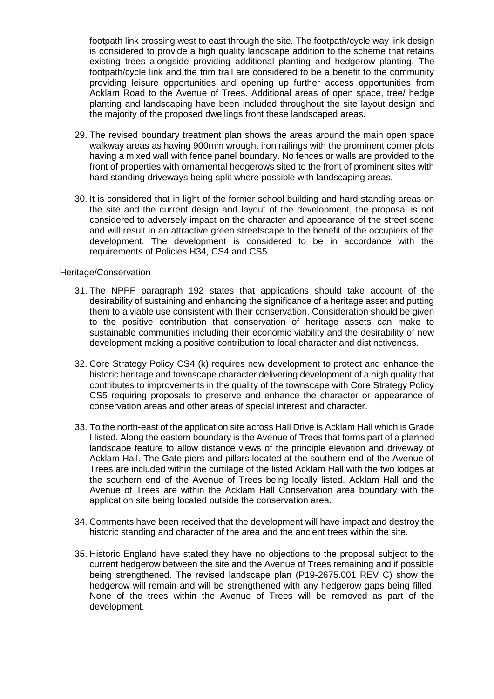footpath link crossing west to east through the site. The footpath/cycle way link design is considered to provide a high quality landscape addition to the scheme that retains existing trees alongside providing additional planting and hedgerow planting. The footpath/cycle link and the trim trail are considered to be a benefit to the community providing leisure opportunities and opening up further access opportunities from Acklam Road to the Avenue of Trees. Additional areas of open space, tree/ hedge planting and landscaping have been included throughout the site layout design and the majority of the proposed dwellings front these landscaped areas.

- 29. The revised boundary treatment plan shows the areas around the main open space walkway areas as having 900mm wrought iron railings with the prominent corner plots having a mixed wall with fence panel boundary. No fences or walls are provided to the front of properties with ornamental hedgerows sited to the front of prominent sites with hard standing driveways being split where possible with landscaping areas.
- 30. It is considered that in light of the former school building and hard standing areas on the site and the current design and layout of the development, the proposal is not considered to adversely impact on the character and appearance of the street scene and will result in an attractive green streetscape to the benefit of the occupiers of the development. The development is considered to be in accordance with the requirements of Policies H34, CS4 and CS5.

#### Heritage/Conservation

- 31. The NPPF paragraph 192 states that applications should take account of the desirability of sustaining and enhancing the significance of a heritage asset and putting them to a viable use consistent with their conservation. Consideration should be given to the positive contribution that conservation of heritage assets can make to sustainable communities including their economic viability and the desirability of new development making a positive contribution to local character and distinctiveness.
- 32. Core Strategy Policy CS4 (k) requires new development to protect and enhance the historic heritage and townscape character delivering development of a high quality that contributes to improvements in the quality of the townscape with Core Strategy Policy CS5 requiring proposals to preserve and enhance the character or appearance of conservation areas and other areas of special interest and character.
- 33. To the north-east of the application site across Hall Drive is Acklam Hall which is Grade I listed. Along the eastern boundary is the Avenue of Trees that forms part of a planned landscape feature to allow distance views of the principle elevation and driveway of Acklam Hall. The Gate piers and pillars located at the southern end of the Avenue of Trees are included within the curtilage of the listed Acklam Hall with the two lodges at the southern end of the Avenue of Trees being locally listed. Acklam Hall and the Avenue of Trees are within the Acklam Hall Conservation area boundary with the application site being located outside the conservation area.
- 34. Comments have been received that the development will have impact and destroy the historic standing and character of the area and the ancient trees within the site.
- 35. Historic England have stated they have no objections to the proposal subject to the current hedgerow between the site and the Avenue of Trees remaining and if possible being strengthened. The revised landscape plan (P19-2675.001 REV C) show the hedgerow will remain and will be strengthened with any hedgerow gaps being filled. None of the trees within the Avenue of Trees will be removed as part of the development.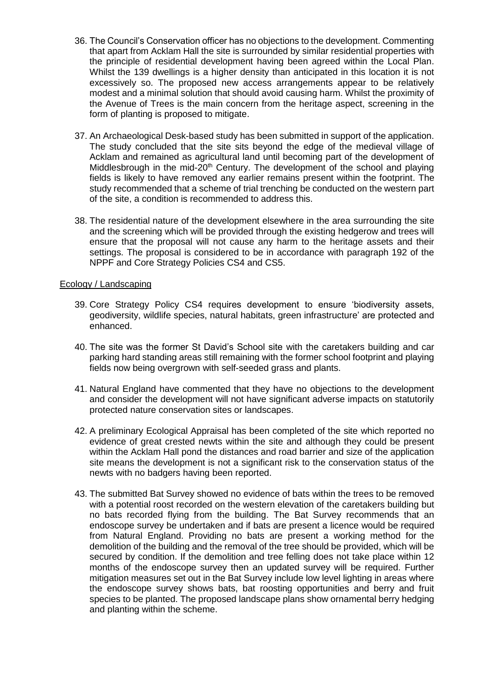- 36. The Council's Conservation officer has no objections to the development. Commenting that apart from Acklam Hall the site is surrounded by similar residential properties with the principle of residential development having been agreed within the Local Plan. Whilst the 139 dwellings is a higher density than anticipated in this location it is not excessively so. The proposed new access arrangements appear to be relatively modest and a minimal solution that should avoid causing harm. Whilst the proximity of the Avenue of Trees is the main concern from the heritage aspect, screening in the form of planting is proposed to mitigate.
- 37. An Archaeological Desk-based study has been submitted in support of the application. The study concluded that the site sits beyond the edge of the medieval village of Acklam and remained as agricultural land until becoming part of the development of Middlesbrough in the mid-20<sup>th</sup> Century. The development of the school and playing fields is likely to have removed any earlier remains present within the footprint. The study recommended that a scheme of trial trenching be conducted on the western part of the site, a condition is recommended to address this.
- 38. The residential nature of the development elsewhere in the area surrounding the site and the screening which will be provided through the existing hedgerow and trees will ensure that the proposal will not cause any harm to the heritage assets and their settings. The proposal is considered to be in accordance with paragraph 192 of the NPPF and Core Strategy Policies CS4 and CS5.

#### Ecology / Landscaping

- 39. Core Strategy Policy CS4 requires development to ensure 'biodiversity assets, geodiversity, wildlife species, natural habitats, green infrastructure' are protected and enhanced.
- 40. The site was the former St David's School site with the caretakers building and car parking hard standing areas still remaining with the former school footprint and playing fields now being overgrown with self-seeded grass and plants.
- 41. Natural England have commented that they have no objections to the development and consider the development will not have significant adverse impacts on statutorily protected nature conservation sites or landscapes.
- 42. A preliminary Ecological Appraisal has been completed of the site which reported no evidence of great crested newts within the site and although they could be present within the Acklam Hall pond the distances and road barrier and size of the application site means the development is not a significant risk to the conservation status of the newts with no badgers having been reported.
- 43. The submitted Bat Survey showed no evidence of bats within the trees to be removed with a potential roost recorded on the western elevation of the caretakers building but no bats recorded flying from the building. The Bat Survey recommends that an endoscope survey be undertaken and if bats are present a licence would be required from Natural England. Providing no bats are present a working method for the demolition of the building and the removal of the tree should be provided, which will be secured by condition. If the demolition and tree felling does not take place within 12 months of the endoscope survey then an updated survey will be required. Further mitigation measures set out in the Bat Survey include low level lighting in areas where the endoscope survey shows bats, bat roosting opportunities and berry and fruit species to be planted. The proposed landscape plans show ornamental berry hedging and planting within the scheme.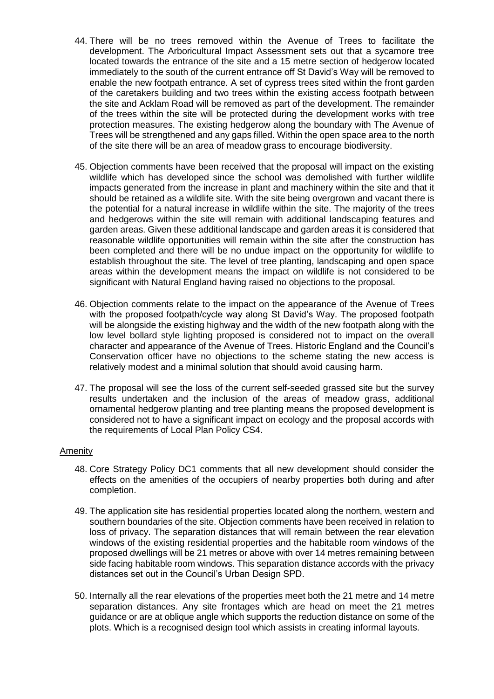- 44. There will be no trees removed within the Avenue of Trees to facilitate the development. The Arboricultural Impact Assessment sets out that a sycamore tree located towards the entrance of the site and a 15 metre section of hedgerow located immediately to the south of the current entrance off St David's Way will be removed to enable the new footpath entrance. A set of cypress trees sited within the front garden of the caretakers building and two trees within the existing access footpath between the site and Acklam Road will be removed as part of the development. The remainder of the trees within the site will be protected during the development works with tree protection measures. The existing hedgerow along the boundary with The Avenue of Trees will be strengthened and any gaps filled. Within the open space area to the north of the site there will be an area of meadow grass to encourage biodiversity.
- 45. Objection comments have been received that the proposal will impact on the existing wildlife which has developed since the school was demolished with further wildlife impacts generated from the increase in plant and machinery within the site and that it should be retained as a wildlife site. With the site being overgrown and vacant there is the potential for a natural increase in wildlife within the site. The majority of the trees and hedgerows within the site will remain with additional landscaping features and garden areas. Given these additional landscape and garden areas it is considered that reasonable wildlife opportunities will remain within the site after the construction has been completed and there will be no undue impact on the opportunity for wildlife to establish throughout the site. The level of tree planting, landscaping and open space areas within the development means the impact on wildlife is not considered to be significant with Natural England having raised no objections to the proposal.
- 46. Objection comments relate to the impact on the appearance of the Avenue of Trees with the proposed footpath/cycle way along St David's Way. The proposed footpath will be alongside the existing highway and the width of the new footpath along with the low level bollard style lighting proposed is considered not to impact on the overall character and appearance of the Avenue of Trees. Historic England and the Council's Conservation officer have no objections to the scheme stating the new access is relatively modest and a minimal solution that should avoid causing harm.
- 47. The proposal will see the loss of the current self-seeded grassed site but the survey results undertaken and the inclusion of the areas of meadow grass, additional ornamental hedgerow planting and tree planting means the proposed development is considered not to have a significant impact on ecology and the proposal accords with the requirements of Local Plan Policy CS4.

#### Amenity

- 48. Core Strategy Policy DC1 comments that all new development should consider the effects on the amenities of the occupiers of nearby properties both during and after completion.
- 49. The application site has residential properties located along the northern, western and southern boundaries of the site. Objection comments have been received in relation to loss of privacy. The separation distances that will remain between the rear elevation windows of the existing residential properties and the habitable room windows of the proposed dwellings will be 21 metres or above with over 14 metres remaining between side facing habitable room windows. This separation distance accords with the privacy distances set out in the Council's Urban Design SPD.
- 50. Internally all the rear elevations of the properties meet both the 21 metre and 14 metre separation distances. Any site frontages which are head on meet the 21 metres guidance or are at oblique angle which supports the reduction distance on some of the plots. Which is a recognised design tool which assists in creating informal layouts.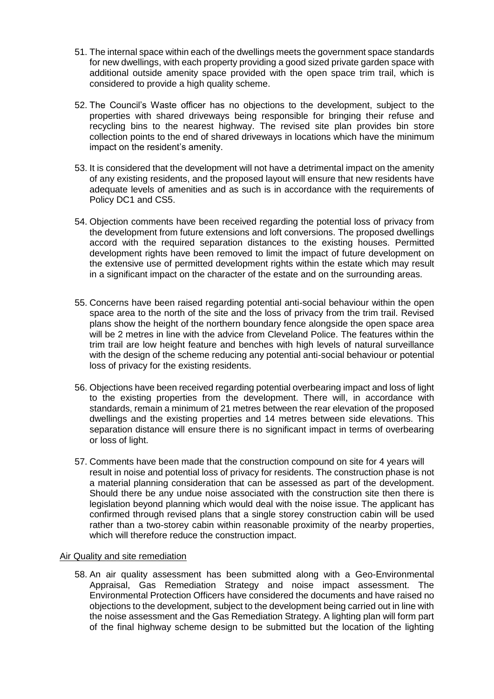- 51. The internal space within each of the dwellings meets the government space standards for new dwellings, with each property providing a good sized private garden space with additional outside amenity space provided with the open space trim trail, which is considered to provide a high quality scheme.
- 52. The Council's Waste officer has no objections to the development, subject to the properties with shared driveways being responsible for bringing their refuse and recycling bins to the nearest highway. The revised site plan provides bin store collection points to the end of shared driveways in locations which have the minimum impact on the resident's amenity.
- 53. It is considered that the development will not have a detrimental impact on the amenity of any existing residents, and the proposed layout will ensure that new residents have adequate levels of amenities and as such is in accordance with the requirements of Policy DC1 and CS5.
- 54. Objection comments have been received regarding the potential loss of privacy from the development from future extensions and loft conversions. The proposed dwellings accord with the required separation distances to the existing houses. Permitted development rights have been removed to limit the impact of future development on the extensive use of permitted development rights within the estate which may result in a significant impact on the character of the estate and on the surrounding areas.
- 55. Concerns have been raised regarding potential anti-social behaviour within the open space area to the north of the site and the loss of privacy from the trim trail. Revised plans show the height of the northern boundary fence alongside the open space area will be 2 metres in line with the advice from Cleveland Police. The features within the trim trail are low height feature and benches with high levels of natural surveillance with the design of the scheme reducing any potential anti-social behaviour or potential loss of privacy for the existing residents.
- 56. Objections have been received regarding potential overbearing impact and loss of light to the existing properties from the development. There will, in accordance with standards, remain a minimum of 21 metres between the rear elevation of the proposed dwellings and the existing properties and 14 metres between side elevations. This separation distance will ensure there is no significant impact in terms of overbearing or loss of light.
- 57. Comments have been made that the construction compound on site for 4 years will result in noise and potential loss of privacy for residents. The construction phase is not a material planning consideration that can be assessed as part of the development. Should there be any undue noise associated with the construction site then there is legislation beyond planning which would deal with the noise issue. The applicant has confirmed through revised plans that a single storey construction cabin will be used rather than a two-storey cabin within reasonable proximity of the nearby properties, which will therefore reduce the construction impact.

#### Air Quality and site remediation

58. An air quality assessment has been submitted along with a Geo-Environmental Appraisal, Gas Remediation Strategy and noise impact assessment. The Environmental Protection Officers have considered the documents and have raised no objections to the development, subject to the development being carried out in line with the noise assessment and the Gas Remediation Strategy. A lighting plan will form part of the final highway scheme design to be submitted but the location of the lighting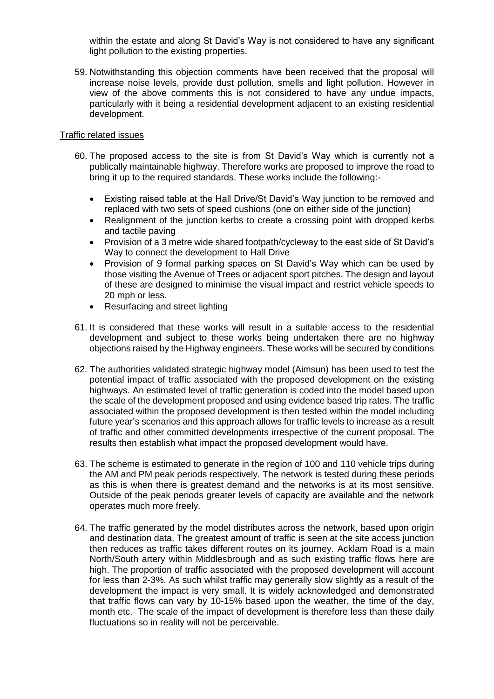within the estate and along St David's Way is not considered to have any significant light pollution to the existing properties.

59. Notwithstanding this objection comments have been received that the proposal will increase noise levels, provide dust pollution, smells and light pollution. However in view of the above comments this is not considered to have any undue impacts, particularly with it being a residential development adjacent to an existing residential development.

#### Traffic related issues

- 60. The proposed access to the site is from St David's Way which is currently not a publically maintainable highway. Therefore works are proposed to improve the road to bring it up to the required standards. These works include the following:-
	- Existing raised table at the Hall Drive/St David's Way junction to be removed and replaced with two sets of speed cushions (one on either side of the junction)
	- Realignment of the junction kerbs to create a crossing point with dropped kerbs and tactile paving
	- Provision of a 3 metre wide shared footpath/cycleway to the east side of St David's Way to connect the development to Hall Drive
	- Provision of 9 formal parking spaces on St David's Way which can be used by those visiting the Avenue of Trees or adjacent sport pitches. The design and layout of these are designed to minimise the visual impact and restrict vehicle speeds to 20 mph or less.
	- Resurfacing and street lighting
- 61. It is considered that these works will result in a suitable access to the residential development and subject to these works being undertaken there are no highway objections raised by the Highway engineers. These works will be secured by conditions
- 62. The authorities validated strategic highway model (Aimsun) has been used to test the potential impact of traffic associated with the proposed development on the existing highways. An estimated level of traffic generation is coded into the model based upon the scale of the development proposed and using evidence based trip rates. The traffic associated within the proposed development is then tested within the model including future year's scenarios and this approach allows for traffic levels to increase as a result of traffic and other committed developments irrespective of the current proposal. The results then establish what impact the proposed development would have.
- 63. The scheme is estimated to generate in the region of 100 and 110 vehicle trips during the AM and PM peak periods respectively. The network is tested during these periods as this is when there is greatest demand and the networks is at its most sensitive. Outside of the peak periods greater levels of capacity are available and the network operates much more freely.
- 64. The traffic generated by the model distributes across the network, based upon origin and destination data. The greatest amount of traffic is seen at the site access junction then reduces as traffic takes different routes on its journey. Acklam Road is a main North/South artery within Middlesbrough and as such existing traffic flows here are high. The proportion of traffic associated with the proposed development will account for less than 2-3%. As such whilst traffic may generally slow slightly as a result of the development the impact is very small. It is widely acknowledged and demonstrated that traffic flows can vary by 10-15% based upon the weather, the time of the day, month etc. The scale of the impact of development is therefore less than these daily fluctuations so in reality will not be perceivable.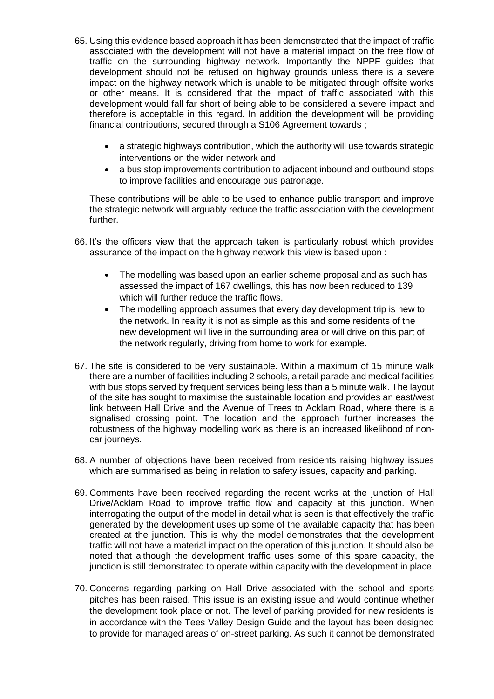- 65. Using this evidence based approach it has been demonstrated that the impact of traffic associated with the development will not have a material impact on the free flow of traffic on the surrounding highway network. Importantly the NPPF guides that development should not be refused on highway grounds unless there is a severe impact on the highway network which is unable to be mitigated through offsite works or other means. It is considered that the impact of traffic associated with this development would fall far short of being able to be considered a severe impact and therefore is acceptable in this regard. In addition the development will be providing financial contributions, secured through a S106 Agreement towards ;
	- a strategic highways contribution, which the authority will use towards strategic interventions on the wider network and
	- a bus stop improvements contribution to adjacent inbound and outbound stops to improve facilities and encourage bus patronage.

These contributions will be able to be used to enhance public transport and improve the strategic network will arguably reduce the traffic association with the development further.

- 66. It's the officers view that the approach taken is particularly robust which provides assurance of the impact on the highway network this view is based upon :
	- The modelling was based upon an earlier scheme proposal and as such has assessed the impact of 167 dwellings, this has now been reduced to 139 which will further reduce the traffic flows.
	- The modelling approach assumes that every day development trip is new to the network. In reality it is not as simple as this and some residents of the new development will live in the surrounding area or will drive on this part of the network regularly, driving from home to work for example.
- 67. The site is considered to be very sustainable. Within a maximum of 15 minute walk there are a number of facilities including 2 schools, a retail parade and medical facilities with bus stops served by frequent services being less than a 5 minute walk. The layout of the site has sought to maximise the sustainable location and provides an east/west link between Hall Drive and the Avenue of Trees to Acklam Road, where there is a signalised crossing point. The location and the approach further increases the robustness of the highway modelling work as there is an increased likelihood of noncar journeys.
- 68. A number of objections have been received from residents raising highway issues which are summarised as being in relation to safety issues, capacity and parking.
- 69. Comments have been received regarding the recent works at the junction of Hall Drive/Acklam Road to improve traffic flow and capacity at this junction. When interrogating the output of the model in detail what is seen is that effectively the traffic generated by the development uses up some of the available capacity that has been created at the junction. This is why the model demonstrates that the development traffic will not have a material impact on the operation of this junction. It should also be noted that although the development traffic uses some of this spare capacity, the junction is still demonstrated to operate within capacity with the development in place.
- 70. Concerns regarding parking on Hall Drive associated with the school and sports pitches has been raised. This issue is an existing issue and would continue whether the development took place or not. The level of parking provided for new residents is in accordance with the Tees Valley Design Guide and the layout has been designed to provide for managed areas of on-street parking. As such it cannot be demonstrated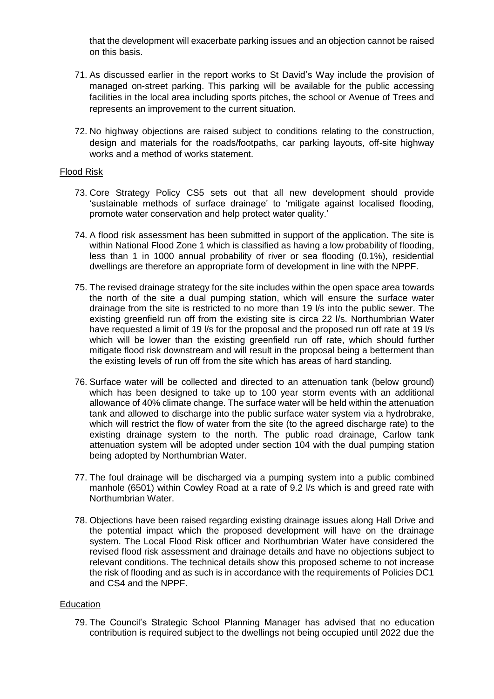that the development will exacerbate parking issues and an objection cannot be raised on this basis.

- 71. As discussed earlier in the report works to St David's Way include the provision of managed on-street parking. This parking will be available for the public accessing facilities in the local area including sports pitches, the school or Avenue of Trees and represents an improvement to the current situation.
- 72. No highway objections are raised subject to conditions relating to the construction, design and materials for the roads/footpaths, car parking layouts, off-site highway works and a method of works statement.

#### Flood Risk

- 73. Core Strategy Policy CS5 sets out that all new development should provide 'sustainable methods of surface drainage' to 'mitigate against localised flooding, promote water conservation and help protect water quality.'
- 74. A flood risk assessment has been submitted in support of the application. The site is within National Flood Zone 1 which is classified as having a low probability of flooding, less than 1 in 1000 annual probability of river or sea flooding (0.1%), residential dwellings are therefore an appropriate form of development in line with the NPPF.
- 75. The revised drainage strategy for the site includes within the open space area towards the north of the site a dual pumping station, which will ensure the surface water drainage from the site is restricted to no more than 19 l/s into the public sewer. The existing greenfield run off from the existing site is circa 22 l/s. Northumbrian Water have requested a limit of 19 l/s for the proposal and the proposed run off rate at 19 l/s which will be lower than the existing greenfield run off rate, which should further mitigate flood risk downstream and will result in the proposal being a betterment than the existing levels of run off from the site which has areas of hard standing.
- 76. Surface water will be collected and directed to an attenuation tank (below ground) which has been designed to take up to 100 year storm events with an additional allowance of 40% climate change. The surface water will be held within the attenuation tank and allowed to discharge into the public surface water system via a hydrobrake, which will restrict the flow of water from the site (to the agreed discharge rate) to the existing drainage system to the north. The public road drainage, Carlow tank attenuation system will be adopted under section 104 with the dual pumping station being adopted by Northumbrian Water.
- 77. The foul drainage will be discharged via a pumping system into a public combined manhole (6501) within Cowley Road at a rate of 9.2 l/s which is and greed rate with Northumbrian Water.
- 78. Objections have been raised regarding existing drainage issues along Hall Drive and the potential impact which the proposed development will have on the drainage system. The Local Flood Risk officer and Northumbrian Water have considered the revised flood risk assessment and drainage details and have no objections subject to relevant conditions. The technical details show this proposed scheme to not increase the risk of flooding and as such is in accordance with the requirements of Policies DC1 and CS4 and the NPPF.

#### **Education**

79. The Council's Strategic School Planning Manager has advised that no education contribution is required subject to the dwellings not being occupied until 2022 due the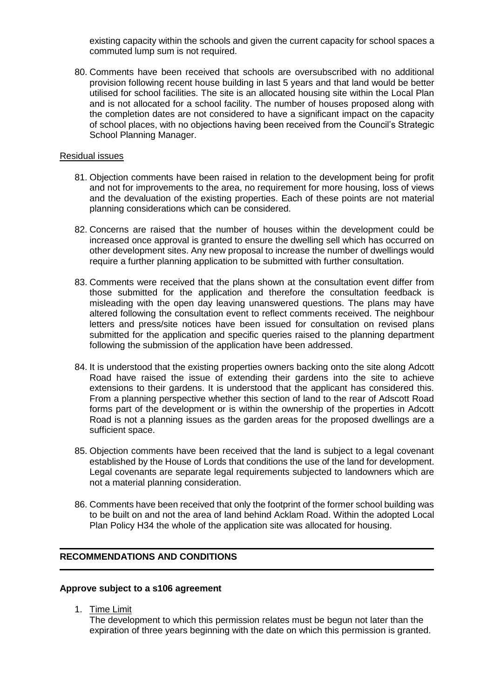existing capacity within the schools and given the current capacity for school spaces a commuted lump sum is not required.

80. Comments have been received that schools are oversubscribed with no additional provision following recent house building in last 5 years and that land would be better utilised for school facilities. The site is an allocated housing site within the Local Plan and is not allocated for a school facility. The number of houses proposed along with the completion dates are not considered to have a significant impact on the capacity of school places, with no objections having been received from the Council's Strategic School Planning Manager.

#### Residual issues

- 81. Objection comments have been raised in relation to the development being for profit and not for improvements to the area, no requirement for more housing, loss of views and the devaluation of the existing properties. Each of these points are not material planning considerations which can be considered.
- 82. Concerns are raised that the number of houses within the development could be increased once approval is granted to ensure the dwelling sell which has occurred on other development sites. Any new proposal to increase the number of dwellings would require a further planning application to be submitted with further consultation.
- 83. Comments were received that the plans shown at the consultation event differ from those submitted for the application and therefore the consultation feedback is misleading with the open day leaving unanswered questions. The plans may have altered following the consultation event to reflect comments received. The neighbour letters and press/site notices have been issued for consultation on revised plans submitted for the application and specific queries raised to the planning department following the submission of the application have been addressed.
- 84. It is understood that the existing properties owners backing onto the site along Adcott Road have raised the issue of extending their gardens into the site to achieve extensions to their gardens. It is understood that the applicant has considered this. From a planning perspective whether this section of land to the rear of Adscott Road forms part of the development or is within the ownership of the properties in Adcott Road is not a planning issues as the garden areas for the proposed dwellings are a sufficient space.
- 85. Objection comments have been received that the land is subject to a legal covenant established by the House of Lords that conditions the use of the land for development. Legal covenants are separate legal requirements subjected to landowners which are not a material planning consideration.
- 86. Comments have been received that only the footprint of the former school building was to be built on and not the area of land behind Acklam Road. Within the adopted Local Plan Policy H34 the whole of the application site was allocated for housing.

# **RECOMMENDATIONS AND CONDITIONS**

#### **Approve subject to a s106 agreement**

1. Time Limit

The development to which this permission relates must be begun not later than the expiration of three years beginning with the date on which this permission is granted.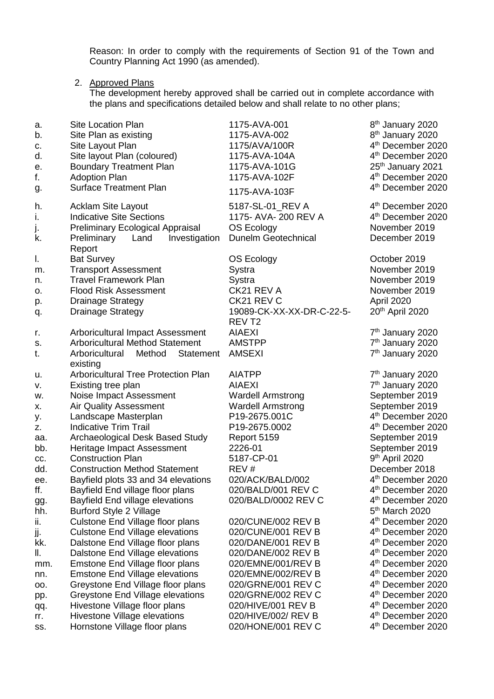Reason: In order to comply with the requirements of Section 91 of the Town and Country Planning Act 1990 (as amended).

2. Approved Plans

The development hereby approved shall be carried out in complete accordance with the plans and specifications detailed below and shall relate to no other plans;

| a.  | <b>Site Location Plan</b>                  | 1175-AVA-001              | 8 <sup>th</sup> January 2020  |
|-----|--------------------------------------------|---------------------------|-------------------------------|
| b.  | Site Plan as existing                      | 1175-AVA-002              | 8 <sup>th</sup> January 2020  |
| с.  | Site Layout Plan                           | 1175/AVA/100R             | 4 <sup>th</sup> December 2020 |
| d.  | Site layout Plan (coloured)                | 1175-AVA-104A             | 4 <sup>th</sup> December 2020 |
| е.  | <b>Boundary Treatment Plan</b>             | 1175-AVA-101G             | 25 <sup>th</sup> January 2021 |
| f.  | <b>Adoption Plan</b>                       | 1175-AVA-102F             | 4 <sup>th</sup> December 2020 |
| g.  | <b>Surface Treatment Plan</b>              | 1175-AVA-103F             | 4 <sup>th</sup> December 2020 |
| h.  | <b>Acklam Site Layout</b>                  | 5187-SL-01_REV A          | 4 <sup>th</sup> December 2020 |
| i.  | <b>Indicative Site Sections</b>            | 1175- AVA- 200 REV A      | 4 <sup>th</sup> December 2020 |
| j.  | <b>Preliminary Ecological Appraisal</b>    | OS Ecology                | November 2019                 |
| k.  | Preliminary Land<br>Investigation          | Dunelm Geotechnical       | December 2019                 |
|     | Report                                     |                           |                               |
| I.  | <b>Bat Survey</b>                          | OS Ecology                | October 2019                  |
| m.  | <b>Transport Assessment</b>                | Systra                    | November 2019                 |
| n.  | <b>Travel Framework Plan</b>               | Systra                    | November 2019                 |
| о.  | <b>Flood Risk Assessment</b>               | CK21 REV A                | November 2019                 |
| p.  | <b>Drainage Strategy</b>                   | CK21 REV C                | April 2020                    |
| q.  | <b>Drainage Strategy</b>                   | 19089-CK-XX-XX-DR-C-22-5- | 20 <sup>th</sup> April 2020   |
|     |                                            | REV T <sub>2</sub>        |                               |
| r.  | Arboricultural Impact Assessment           | <b>AIAEXI</b>             | 7 <sup>th</sup> January 2020  |
| S.  | <b>Arboricultural Method Statement</b>     | <b>AMSTPP</b>             | 7 <sup>th</sup> January 2020  |
| t.  | Arboricultural<br>Method<br>Statement      | <b>AMSEXI</b>             | 7 <sup>th</sup> January 2020  |
|     | existing                                   |                           |                               |
| u.  | <b>Arboricultural Tree Protection Plan</b> | <b>AIATPP</b>             | 7 <sup>th</sup> January 2020  |
| v.  | Existing tree plan                         | <b>AIAEXI</b>             | 7 <sup>th</sup> January 2020  |
| w.  | Noise Impact Assessment                    | <b>Wardell Armstrong</b>  | September 2019                |
| х.  | Air Quality Assessment                     | <b>Wardell Armstrong</b>  | September 2019                |
| у.  | Landscape Masterplan                       | P19-2675.001C             | 4 <sup>th</sup> December 2020 |
| Z.  | <b>Indicative Trim Trail</b>               | P19-2675.0002             | 4 <sup>th</sup> December 2020 |
| aa. | Archaeological Desk Based Study            | Report 5159               | September 2019                |
| bb. | Heritage Impact Assessment                 | 2226-01                   | September 2019                |
| CC. | <b>Construction Plan</b>                   | 5187-CP-01                | 9 <sup>th</sup> April 2020    |
| dd. | <b>Construction Method Statement</b>       | REV#                      | December 2018                 |
| ee. | Bayfield plots 33 and 34 elevations        | 020/ACK/BALD/002          | 4 <sup>th</sup> December 2020 |
| ff. | Bayfield End village floor plans           | 020/BALD/001 REV C        | 4 <sup>th</sup> December 2020 |
| gg. | Bayfield End village elevations            | 020/BALD/0002 REV C       | 4 <sup>th</sup> December 2020 |
| hh. | <b>Burford Style 2 Village</b>             |                           | 5 <sup>th</sup> March 2020    |
| ii. | Culstone End Village floor plans           | 020/CUNE/002 REV B        | 4 <sup>th</sup> December 2020 |
| jj. | <b>Culstone End Village elevations</b>     | 020/CUNE/001 REV B        | 4 <sup>th</sup> December 2020 |
| kk. | Dalstone End Village floor plans           | 020/DANE/001 REV B        | 4 <sup>th</sup> December 2020 |
| Ⅱ.  | Dalstone End Village elevations            | 020/DANE/002 REV B        | 4 <sup>th</sup> December 2020 |
| mm. | Emstone End Village floor plans            | 020/EMNE/001/REV B        | 4 <sup>th</sup> December 2020 |
| nn. | <b>Emstone End Village elevations</b>      | 020/EMNE/002/REV B        | 4 <sup>th</sup> December 2020 |
| 00. | Greystone End Village floor plans          | 020/GRNE/001 REV C        | 4 <sup>th</sup> December 2020 |
| pp. | Greystone End Village elevations           | 020/GRNE/002 REV C        | 4 <sup>th</sup> December 2020 |
| qq. | Hivestone Village floor plans              | 020/HIVE/001 REV B        | 4 <sup>th</sup> December 2020 |
| rr. | Hivestone Village elevations               | 020/HIVE/002/ REV B       | 4 <sup>th</sup> December 2020 |
| SS. | Hornstone Village floor plans              | 020/HONE/001 REV C        | 4 <sup>th</sup> December 2020 |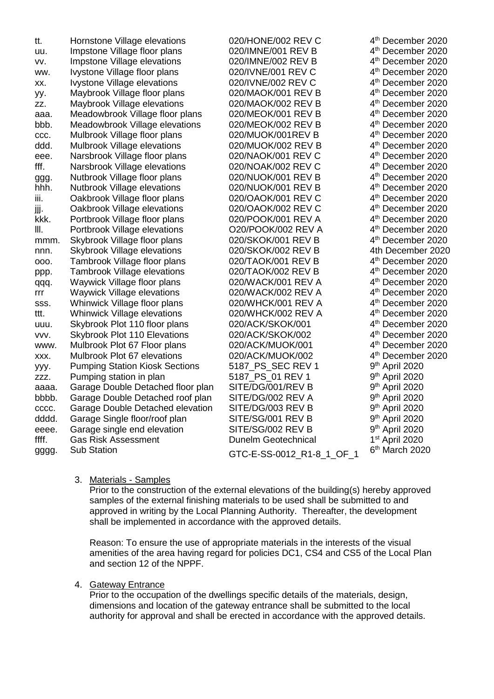| tt.   | Hornstone Village elevations          | 020/HONE/002 REV C        | 4 <sup>th</sup> December 2020 |
|-------|---------------------------------------|---------------------------|-------------------------------|
| uu.   | Impstone Village floor plans          | 020/IMNE/001 REV B        | 4 <sup>th</sup> December 2020 |
| VV.   | Impstone Village elevations           | 020/IMNE/002 REV B        | 4 <sup>th</sup> December 2020 |
| WW.   | Ivystone Village floor plans          | 020/IVNE/001 REV C        | 4 <sup>th</sup> December 2020 |
| XX.   | Ivystone Village elevations           | 020/IVNE/002 REV C        | 4 <sup>th</sup> December 2020 |
| уу.   | Maybrook Village floor plans          | 020/MAOK/001 REV B        | 4 <sup>th</sup> December 2020 |
| ZZ.   | Maybrook Village elevations           | 020/MAOK/002 REV B        | 4 <sup>th</sup> December 2020 |
| aaa.  | Meadowbrook Village floor plans       | 020/MEOK/001 REV B        | 4 <sup>th</sup> December 2020 |
| bbb.  | Meadowbrook Village elevations        | 020/MEOK/002 REV B        | 4 <sup>th</sup> December 2020 |
| CCC.  | Mulbrook Village floor plans          | 020/MUOK/001REV B         | 4 <sup>th</sup> December 2020 |
| ddd.  | Mulbrook Village elevations           | 020/MUOK/002 REV B        | 4 <sup>th</sup> December 2020 |
| eee.  | Narsbrook Village floor plans         | 020/NAOK/001 REV C        | 4 <sup>th</sup> December 2020 |
| fff.  | Narsbrook Village elevations          | 020/NOAK/002 REV C        | 4 <sup>th</sup> December 2020 |
| ggg.  | Nutbrook Village floor plans          | 020/NUOK/001 REV B        | 4 <sup>th</sup> December 2020 |
| hhh.  | Nutbrook Village elevations           | 020/NUOK/001 REV B        | 4 <sup>th</sup> December 2020 |
| iii.  | Oakbrook Village floor plans          | 020/OAOK/001 REV C        | 4 <sup>th</sup> December 2020 |
| jjj.  | Oakbrook Village elevations           | 020/OAOK/002 REV C        | 4 <sup>th</sup> December 2020 |
| kkk.  | Portbrook Village floor plans         | 020/POOK/001 REV A        | 4 <sup>th</sup> December 2020 |
| III.  | Portbrook Village elevations          | O20/POOK/002 REV A        | 4 <sup>th</sup> December 2020 |
| mmm.  | Skybrook Village floor plans          | 020/SKOK/001 REV B        | 4 <sup>th</sup> December 2020 |
| nnn.  | Skybrook Village elevations           | 020/SKOK/002 REV B        | 4th December 2020             |
| 000.  | Tambrook Village floor plans          | 020/TAOK/001 REV B        | 4 <sup>th</sup> December 2020 |
| ppp.  | <b>Tambrook Village elevations</b>    | 020/TAOK/002 REV B        | 4 <sup>th</sup> December 2020 |
| qqq.  | Waywick Village floor plans           | 020/WACK/001 REV A        | 4 <sup>th</sup> December 2020 |
| rrr   | <b>Waywick Village elevations</b>     | 020/WACK/002 REV A        | 4 <sup>th</sup> December 2020 |
| SSS.  | Whinwick Village floor plans          | 020/WHCK/001 REV A        | 4 <sup>th</sup> December 2020 |
| ttt.  | <b>Whinwick Village elevations</b>    | 020/WHCK/002 REV A        | 4 <sup>th</sup> December 2020 |
| uuu.  | Skybrook Plot 110 floor plans         | 020/ACK/SKOK/001          | 4 <sup>th</sup> December 2020 |
| VVV.  | Skybrook Plot 110 Elevations          | 020/ACK/SKOK/002          | 4 <sup>th</sup> December 2020 |
| www.  | Mulbrook Plot 67 Floor plans          | 020/ACK/MUOK/001          | 4 <sup>th</sup> December 2020 |
| XXX.  | Mulbrook Plot 67 elevations           | 020/ACK/MUOK/002          | 4 <sup>th</sup> December 2020 |
| ууу.  | <b>Pumping Station Kiosk Sections</b> | 5187_PS_SEC REV 1         | $9th$ April 2020              |
| ZZZ.  | Pumping station in plan               | 5187_PS_01 REV 1          | 9 <sup>th</sup> April 2020    |
| aaaa. | Garage Double Detached floor plan     | SITE/DG/001/REV B         | 9 <sup>th</sup> April 2020    |
| bbbb. | Garage Double Detached roof plan      | SITE/DG/002 REV A         | $9th$ April 2020              |
| cccc. | Garage Double Detached elevation      | SITE/DG/003 REV B         | 9 <sup>th</sup> April 2020    |
| dddd. | Garage Single floor/roof plan         | SITE/SG/001 REV B         | 9 <sup>th</sup> April 2020    |
| eeee. | Garage single end elevation           | SITE/SG/002 REV B         | $9th$ April 2020              |
| ffff. | <b>Gas Risk Assessment</b>            | Dunelm Geotechnical       | 1 <sup>st</sup> April 2020    |
| gggg. | <b>Sub Station</b>                    | GTC-E-SS-0012_R1-8_1_OF_1 | 6 <sup>th</sup> March 2020    |

# 3. Materials - Samples

Prior to the construction of the external elevations of the building(s) hereby approved samples of the external finishing materials to be used shall be submitted to and approved in writing by the Local Planning Authority. Thereafter, the development shall be implemented in accordance with the approved details.

Reason: To ensure the use of appropriate materials in the interests of the visual amenities of the area having regard for policies DC1, CS4 and CS5 of the Local Plan and section 12 of the NPPF.

# 4. Gateway Entrance

Prior to the occupation of the dwellings specific details of the materials, design, dimensions and location of the gateway entrance shall be submitted to the local authority for approval and shall be erected in accordance with the approved details.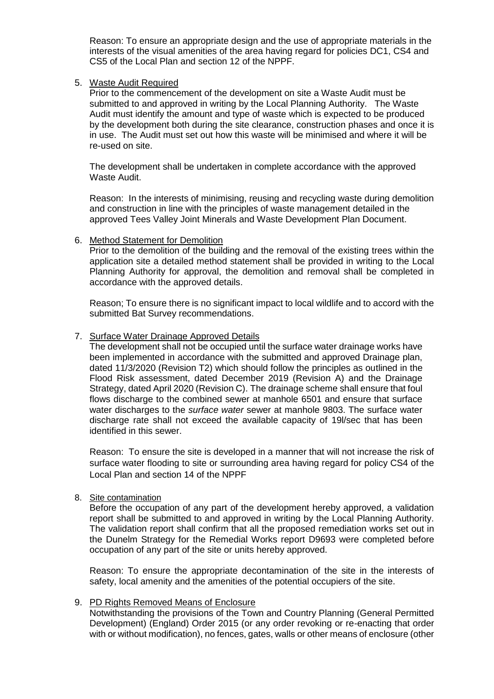Reason: To ensure an appropriate design and the use of appropriate materials in the interests of the visual amenities of the area having regard for policies DC1, CS4 and CS5 of the Local Plan and section 12 of the NPPF.

#### 5. Waste Audit Required

Prior to the commencement of the development on site a Waste Audit must be submitted to and approved in writing by the Local Planning Authority. The Waste Audit must identify the amount and type of waste which is expected to be produced by the development both during the site clearance, construction phases and once it is in use. The Audit must set out how this waste will be minimised and where it will be re-used on site.

The development shall be undertaken in complete accordance with the approved Waste Audit.

Reason: In the interests of minimising, reusing and recycling waste during demolition and construction in line with the principles of waste management detailed in the approved Tees Valley Joint Minerals and Waste Development Plan Document.

#### 6. Method Statement for Demolition

Prior to the demolition of the building and the removal of the existing trees within the application site a detailed method statement shall be provided in writing to the Local Planning Authority for approval, the demolition and removal shall be completed in accordance with the approved details.

Reason; To ensure there is no significant impact to local wildlife and to accord with the submitted Bat Survey recommendations.

#### 7. Surface Water Drainage Approved Details

The development shall not be occupied until the surface water drainage works have been implemented in accordance with the submitted and approved Drainage plan, dated 11/3/2020 (Revision T2) which should follow the principles as outlined in the Flood Risk assessment, dated December 2019 (Revision A) and the Drainage Strategy, dated April 2020 (Revision C). The drainage scheme shall ensure that foul flows discharge to the combined sewer at manhole 6501 and ensure that surface water discharges to the *surface water* sewer at manhole 9803. The surface water discharge rate shall not exceed the available capacity of 19l/sec that has been identified in this sewer.

Reason: To ensure the site is developed in a manner that will not increase the risk of surface water flooding to site or surrounding area having regard for policy CS4 of the Local Plan and section 14 of the NPPF

# 8. Site contamination

Before the occupation of any part of the development hereby approved, a validation report shall be submitted to and approved in writing by the Local Planning Authority. The validation report shall confirm that all the proposed remediation works set out in the Dunelm Strategy for the Remedial Works report D9693 were completed before occupation of any part of the site or units hereby approved.

Reason: To ensure the appropriate decontamination of the site in the interests of safety, local amenity and the amenities of the potential occupiers of the site.

#### 9. PD Rights Removed Means of Enclosure

Notwithstanding the provisions of the Town and Country Planning (General Permitted Development) (England) Order 2015 (or any order revoking or re-enacting that order with or without modification), no fences, gates, walls or other means of enclosure (other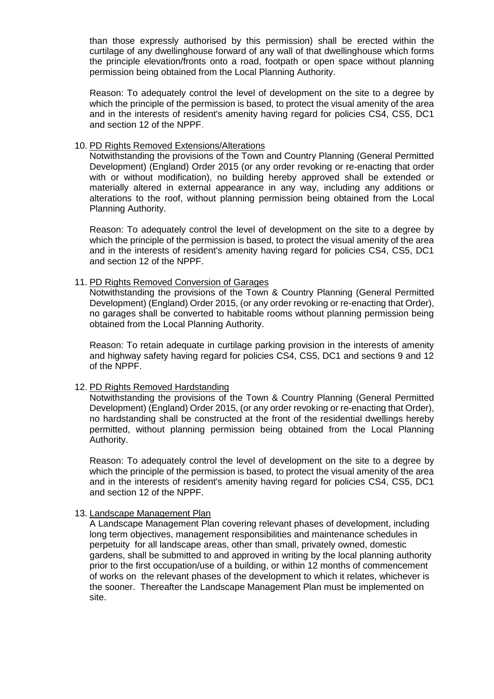than those expressly authorised by this permission) shall be erected within the curtilage of any dwellinghouse forward of any wall of that dwellinghouse which forms the principle elevation/fronts onto a road, footpath or open space without planning permission being obtained from the Local Planning Authority.

Reason: To adequately control the level of development on the site to a degree by which the principle of the permission is based, to protect the visual amenity of the area and in the interests of resident's amenity having regard for policies CS4, CS5, DC1 and section 12 of the NPPF.

#### 10. PD Rights Removed Extensions/Alterations

Notwithstanding the provisions of the Town and Country Planning (General Permitted Development) (England) Order 2015 (or any order revoking or re-enacting that order with or without modification), no building hereby approved shall be extended or materially altered in external appearance in any way, including any additions or alterations to the roof, without planning permission being obtained from the Local Planning Authority.

Reason: To adequately control the level of development on the site to a degree by which the principle of the permission is based, to protect the visual amenity of the area and in the interests of resident's amenity having regard for policies CS4, CS5, DC1 and section 12 of the NPPF.

#### 11. PD Rights Removed Conversion of Garages

Notwithstanding the provisions of the Town & Country Planning (General Permitted Development) (England) Order 2015, (or any order revoking or re-enacting that Order), no garages shall be converted to habitable rooms without planning permission being obtained from the Local Planning Authority.

Reason: To retain adequate in curtilage parking provision in the interests of amenity and highway safety having regard for policies CS4, CS5, DC1 and sections 9 and 12 of the NPPF.

# 12. PD Rights Removed Hardstanding

Notwithstanding the provisions of the Town & Country Planning (General Permitted Development) (England) Order 2015, (or any order revoking or re-enacting that Order), no hardstanding shall be constructed at the front of the residential dwellings hereby permitted, without planning permission being obtained from the Local Planning Authority.

Reason: To adequately control the level of development on the site to a degree by which the principle of the permission is based, to protect the visual amenity of the area and in the interests of resident's amenity having regard for policies CS4, CS5, DC1 and section 12 of the NPPF.

# 13. Landscape Management Plan

A Landscape Management Plan covering relevant phases of development, including long term objectives, management responsibilities and maintenance schedules in perpetuity for all landscape areas, other than small, privately owned, domestic gardens, shall be submitted to and approved in writing by the local planning authority prior to the first occupation/use of a building, or within 12 months of commencement of works on the relevant phases of the development to which it relates, whichever is the sooner. Thereafter the Landscape Management Plan must be implemented on site.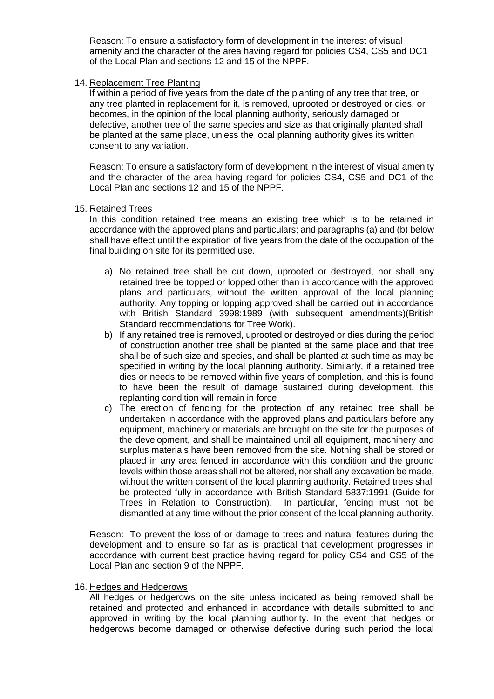Reason: To ensure a satisfactory form of development in the interest of visual amenity and the character of the area having regard for policies CS4, CS5 and DC1 of the Local Plan and sections 12 and 15 of the NPPF.

#### 14. Replacement Tree Planting

If within a period of five years from the date of the planting of any tree that tree, or any tree planted in replacement for it, is removed, uprooted or destroyed or dies, or becomes, in the opinion of the local planning authority, seriously damaged or defective, another tree of the same species and size as that originally planted shall be planted at the same place, unless the local planning authority gives its written consent to any variation.

Reason: To ensure a satisfactory form of development in the interest of visual amenity and the character of the area having regard for policies CS4, CS5 and DC1 of the Local Plan and sections 12 and 15 of the NPPF.

#### 15. Retained Trees

In this condition retained tree means an existing tree which is to be retained in accordance with the approved plans and particulars; and paragraphs (a) and (b) below shall have effect until the expiration of five years from the date of the occupation of the final building on site for its permitted use.

- a) No retained tree shall be cut down, uprooted or destroyed, nor shall any retained tree be topped or lopped other than in accordance with the approved plans and particulars, without the written approval of the local planning authority. Any topping or lopping approved shall be carried out in accordance with British Standard 3998:1989 (with subsequent amendments)(British Standard recommendations for Tree Work).
- b) If any retained tree is removed, uprooted or destroyed or dies during the period of construction another tree shall be planted at the same place and that tree shall be of such size and species, and shall be planted at such time as may be specified in writing by the local planning authority. Similarly, if a retained tree dies or needs to be removed within five years of completion, and this is found to have been the result of damage sustained during development, this replanting condition will remain in force
- c) The erection of fencing for the protection of any retained tree shall be undertaken in accordance with the approved plans and particulars before any equipment, machinery or materials are brought on the site for the purposes of the development, and shall be maintained until all equipment, machinery and surplus materials have been removed from the site. Nothing shall be stored or placed in any area fenced in accordance with this condition and the ground levels within those areas shall not be altered, nor shall any excavation be made, without the written consent of the local planning authority. Retained trees shall be protected fully in accordance with British Standard 5837:1991 (Guide for Trees in Relation to Construction). In particular, fencing must not be dismantled at any time without the prior consent of the local planning authority.

Reason: To prevent the loss of or damage to trees and natural features during the development and to ensure so far as is practical that development progresses in accordance with current best practice having regard for policy CS4 and CS5 of the Local Plan and section 9 of the NPPF.

#### 16. Hedges and Hedgerows

All hedges or hedgerows on the site unless indicated as being removed shall be retained and protected and enhanced in accordance with details submitted to and approved in writing by the local planning authority. In the event that hedges or hedgerows become damaged or otherwise defective during such period the local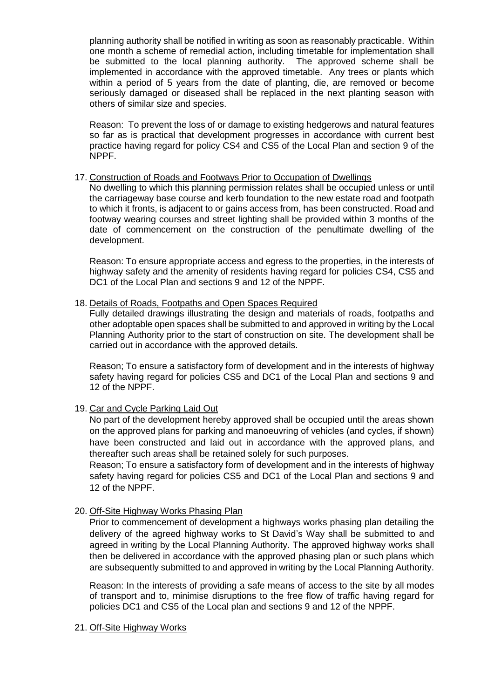planning authority shall be notified in writing as soon as reasonably practicable. Within one month a scheme of remedial action, including timetable for implementation shall be submitted to the local planning authority. The approved scheme shall be implemented in accordance with the approved timetable. Any trees or plants which within a period of 5 years from the date of planting, die, are removed or become seriously damaged or diseased shall be replaced in the next planting season with others of similar size and species.

Reason: To prevent the loss of or damage to existing hedgerows and natural features so far as is practical that development progresses in accordance with current best practice having regard for policy CS4 and CS5 of the Local Plan and section 9 of the NPPF.

#### 17. Construction of Roads and Footways Prior to Occupation of Dwellings

No dwelling to which this planning permission relates shall be occupied unless or until the carriageway base course and kerb foundation to the new estate road and footpath to which it fronts, is adjacent to or gains access from, has been constructed. Road and footway wearing courses and street lighting shall be provided within 3 months of the date of commencement on the construction of the penultimate dwelling of the development.

Reason: To ensure appropriate access and egress to the properties, in the interests of highway safety and the amenity of residents having regard for policies CS4, CS5 and DC1 of the Local Plan and sections 9 and 12 of the NPPF.

#### 18. Details of Roads, Footpaths and Open Spaces Required

Fully detailed drawings illustrating the design and materials of roads, footpaths and other adoptable open spaces shall be submitted to and approved in writing by the Local Planning Authority prior to the start of construction on site. The development shall be carried out in accordance with the approved details.

Reason; To ensure a satisfactory form of development and in the interests of highway safety having regard for policies CS5 and DC1 of the Local Plan and sections 9 and 12 of the NPPF.

# 19. Car and Cycle Parking Laid Out

No part of the development hereby approved shall be occupied until the areas shown on the approved plans for parking and manoeuvring of vehicles (and cycles, if shown) have been constructed and laid out in accordance with the approved plans, and thereafter such areas shall be retained solely for such purposes.

Reason; To ensure a satisfactory form of development and in the interests of highway safety having regard for policies CS5 and DC1 of the Local Plan and sections 9 and 12 of the NPPF.

# 20. Off-Site Highway Works Phasing Plan

Prior to commencement of development a highways works phasing plan detailing the delivery of the agreed highway works to St David's Way shall be submitted to and agreed in writing by the Local Planning Authority. The approved highway works shall then be delivered in accordance with the approved phasing plan or such plans which are subsequently submitted to and approved in writing by the Local Planning Authority.

Reason: In the interests of providing a safe means of access to the site by all modes of transport and to, minimise disruptions to the free flow of traffic having regard for policies DC1 and CS5 of the Local plan and sections 9 and 12 of the NPPF.

#### 21. Off-Site Highway Works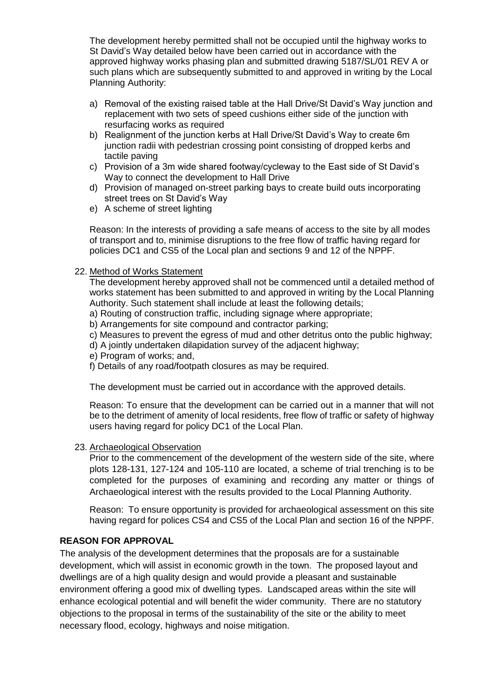The development hereby permitted shall not be occupied until the highway works to St David's Way detailed below have been carried out in accordance with the approved highway works phasing plan and submitted drawing 5187/SL/01 REV A or such plans which are subsequently submitted to and approved in writing by the Local Planning Authority:

- a) Removal of the existing raised table at the Hall Drive/St David's Way junction and replacement with two sets of speed cushions either side of the junction with resurfacing works as required
- b) Realignment of the junction kerbs at Hall Drive/St David's Way to create 6m junction radii with pedestrian crossing point consisting of dropped kerbs and tactile paving
- c) Provision of a 3m wide shared footway/cycleway to the East side of St David's Way to connect the development to Hall Drive
- d) Provision of managed on-street parking bays to create build outs incorporating street trees on St David's Way
- e) A scheme of street lighting

Reason: In the interests of providing a safe means of access to the site by all modes of transport and to, minimise disruptions to the free flow of traffic having regard for policies DC1 and CS5 of the Local plan and sections 9 and 12 of the NPPF.

#### 22. Method of Works Statement

The development hereby approved shall not be commenced until a detailed method of works statement has been submitted to and approved in writing by the Local Planning Authority. Such statement shall include at least the following details;

a) Routing of construction traffic, including signage where appropriate;

b) Arrangements for site compound and contractor parking;

c) Measures to prevent the egress of mud and other detritus onto the public highway;

d) A jointly undertaken dilapidation survey of the adjacent highway;

e) Program of works; and,

f) Details of any road/footpath closures as may be required.

The development must be carried out in accordance with the approved details.

Reason: To ensure that the development can be carried out in a manner that will not be to the detriment of amenity of local residents, free flow of traffic or safety of highway users having regard for policy DC1 of the Local Plan.

# 23. Archaeological Observation

Prior to the commencement of the development of the western side of the site, where plots 128-131, 127-124 and 105-110 are located, a scheme of trial trenching is to be completed for the purposes of examining and recording any matter or things of Archaeological interest with the results provided to the Local Planning Authority.

Reason: To ensure opportunity is provided for archaeological assessment on this site having regard for polices CS4 and CS5 of the Local Plan and section 16 of the NPPF.

# **REASON FOR APPROVAL**

The analysis of the development determines that the proposals are for a sustainable development, which will assist in economic growth in the town. The proposed layout and dwellings are of a high quality design and would provide a pleasant and sustainable environment offering a good mix of dwelling types. Landscaped areas within the site will enhance ecological potential and will benefit the wider community. There are no statutory objections to the proposal in terms of the sustainability of the site or the ability to meet necessary flood, ecology, highways and noise mitigation.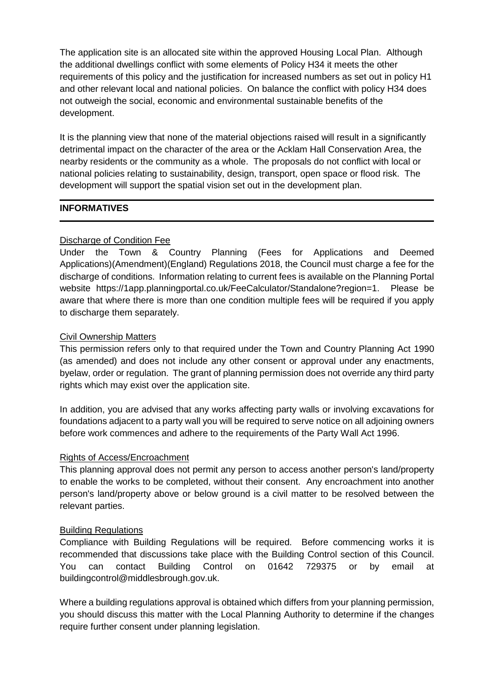The application site is an allocated site within the approved Housing Local Plan. Although the additional dwellings conflict with some elements of Policy H34 it meets the other requirements of this policy and the justification for increased numbers as set out in policy H1 and other relevant local and national policies. On balance the conflict with policy H34 does not outweigh the social, economic and environmental sustainable benefits of the development.

It is the planning view that none of the material objections raised will result in a significantly detrimental impact on the character of the area or the Acklam Hall Conservation Area, the nearby residents or the community as a whole. The proposals do not conflict with local or national policies relating to sustainability, design, transport, open space or flood risk. The development will support the spatial vision set out in the development plan.

# **INFORMATIVES**

# Discharge of Condition Fee

Under the Town & Country Planning (Fees for Applications and Deemed Applications)(Amendment)(England) Regulations 2018, the Council must charge a fee for the discharge of conditions. Information relating to current fees is available on the Planning Portal website https://1app.planningportal.co.uk/FeeCalculator/Standalone?region=1. Please be aware that where there is more than one condition multiple fees will be required if you apply to discharge them separately.

# Civil Ownership Matters

This permission refers only to that required under the Town and Country Planning Act 1990 (as amended) and does not include any other consent or approval under any enactments, byelaw, order or regulation. The grant of planning permission does not override any third party rights which may exist over the application site.

In addition, you are advised that any works affecting party walls or involving excavations for foundations adjacent to a party wall you will be required to serve notice on all adjoining owners before work commences and adhere to the requirements of the Party Wall Act 1996.

# Rights of Access/Encroachment

This planning approval does not permit any person to access another person's land/property to enable the works to be completed, without their consent. Any encroachment into another person's land/property above or below ground is a civil matter to be resolved between the relevant parties.

# Building Regulations

Compliance with Building Regulations will be required. Before commencing works it is recommended that discussions take place with the Building Control section of this Council. You can contact Building Control on 01642 729375 or by email at buildingcontrol@middlesbrough.gov.uk.

Where a building regulations approval is obtained which differs from your planning permission, you should discuss this matter with the Local Planning Authority to determine if the changes require further consent under planning legislation.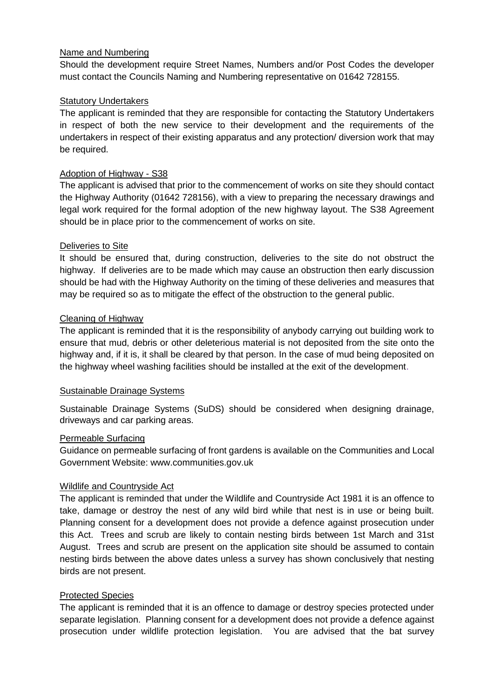# Name and Numbering

Should the development require Street Names, Numbers and/or Post Codes the developer must contact the Councils Naming and Numbering representative on 01642 728155.

# Statutory Undertakers

The applicant is reminded that they are responsible for contacting the Statutory Undertakers in respect of both the new service to their development and the requirements of the undertakers in respect of their existing apparatus and any protection/ diversion work that may be required.

# Adoption of Highway - S38

The applicant is advised that prior to the commencement of works on site they should contact the Highway Authority (01642 728156), with a view to preparing the necessary drawings and legal work required for the formal adoption of the new highway layout. The S38 Agreement should be in place prior to the commencement of works on site.

# Deliveries to Site

It should be ensured that, during construction, deliveries to the site do not obstruct the highway. If deliveries are to be made which may cause an obstruction then early discussion should be had with the Highway Authority on the timing of these deliveries and measures that may be required so as to mitigate the effect of the obstruction to the general public.

# Cleaning of Highway

The applicant is reminded that it is the responsibility of anybody carrying out building work to ensure that mud, debris or other deleterious material is not deposited from the site onto the highway and, if it is, it shall be cleared by that person. In the case of mud being deposited on the highway wheel washing facilities should be installed at the exit of the development.

# Sustainable Drainage Systems

Sustainable Drainage Systems (SuDS) should be considered when designing drainage, driveways and car parking areas.

# Permeable Surfacing

Guidance on permeable surfacing of front gardens is available on the Communities and Local Government Website: www.communities.gov.uk

# Wildlife and Countryside Act

The applicant is reminded that under the Wildlife and Countryside Act 1981 it is an offence to take, damage or destroy the nest of any wild bird while that nest is in use or being built. Planning consent for a development does not provide a defence against prosecution under this Act. Trees and scrub are likely to contain nesting birds between 1st March and 31st August. Trees and scrub are present on the application site should be assumed to contain nesting birds between the above dates unless a survey has shown conclusively that nesting birds are not present.

# Protected Species

The applicant is reminded that it is an offence to damage or destroy species protected under separate legislation. Planning consent for a development does not provide a defence against prosecution under wildlife protection legislation. You are advised that the bat survey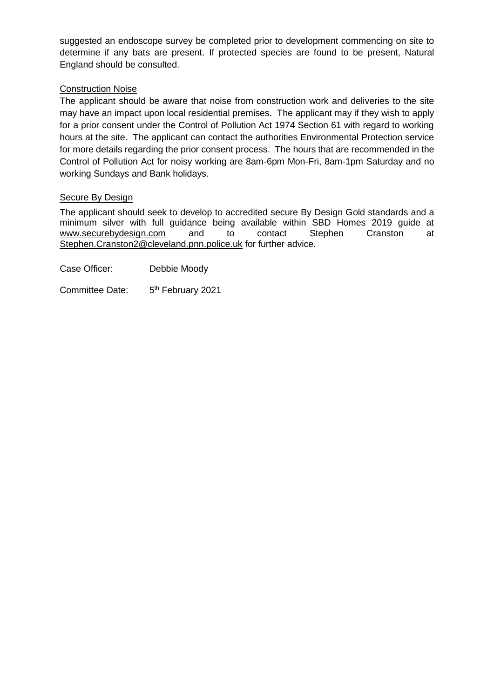suggested an endoscope survey be completed prior to development commencing on site to determine if any bats are present. If protected species are found to be present, Natural England should be consulted.

# Construction Noise

The applicant should be aware that noise from construction work and deliveries to the site may have an impact upon local residential premises. The applicant may if they wish to apply for a prior consent under the Control of Pollution Act 1974 Section 61 with regard to working hours at the site. The applicant can contact the authorities Environmental Protection service for more details regarding the prior consent process. The hours that are recommended in the Control of Pollution Act for noisy working are 8am-6pm Mon-Fri, 8am-1pm Saturday and no working Sundays and Bank holidays.

# Secure By Design

The applicant should seek to develop to accredited secure By Design Gold standards and a minimum silver with full guidance being available within SBD Homes 2019 guide at [www.securebydesign.com](http://www.securebydesign.com/) and to contact Stephen Cranston at [Stephen.Cranston2@cleveland.pnn.police.uk](mailto:Stephen.Cranston2@cleveland.pnn.police.uk) for further advice.

Case Officer: Debbie Moody

Committee Date: 5<sup>th</sup> February 2021